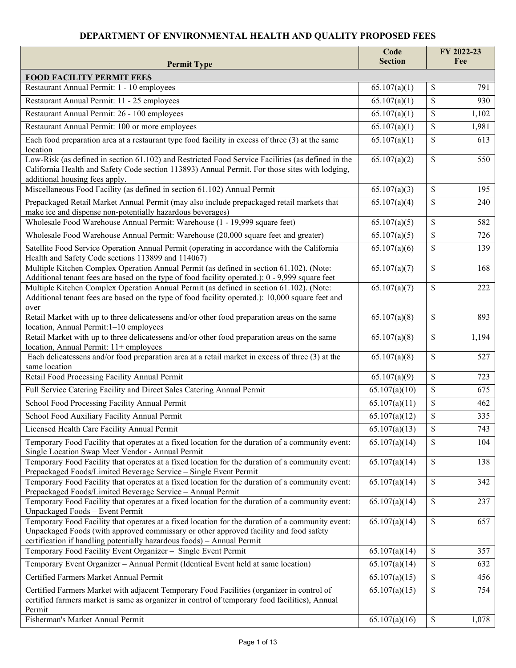## **DEPARTMENT OF ENVIRONMENTAL HEALTH AND QUALITY PROPOSED FEES**

| <b>Permit Type</b>                                                                                                                                                                                                                                                  | Code<br><b>Section</b>     | FY 2022-23<br>Fee    |
|---------------------------------------------------------------------------------------------------------------------------------------------------------------------------------------------------------------------------------------------------------------------|----------------------------|----------------------|
| <b>FOOD FACILITY PERMIT FEES</b>                                                                                                                                                                                                                                    |                            |                      |
| Restaurant Annual Permit: 1 - 10 employees                                                                                                                                                                                                                          | 65.107(a)(1)               | \$<br>791            |
| Restaurant Annual Permit: 11 - 25 employees                                                                                                                                                                                                                         | 65.107(a)(1)               | $\mathbf S$<br>930   |
| Restaurant Annual Permit: 26 - 100 employees                                                                                                                                                                                                                        | 65.107(a)(1)               | \$<br>1,102          |
| Restaurant Annual Permit: 100 or more employees                                                                                                                                                                                                                     | 65.107(a)(1)               | \$<br>1,981          |
| Each food preparation area at a restaurant type food facility in excess of three (3) at the same                                                                                                                                                                    | 65.107(a)(1)               | \$<br>613            |
| location                                                                                                                                                                                                                                                            |                            |                      |
| Low-Risk (as defined in section 61.102) and Restricted Food Service Facilities (as defined in the<br>California Health and Safety Code section 113893) Annual Permit. For those sites with lodging,<br>additional housing fees apply.                               | 65.107(a)(2)               | $\mathcal{S}$<br>550 |
| Miscellaneous Food Facility (as defined in section 61.102) Annual Permit                                                                                                                                                                                            | 65.107(a)(3)               | \$<br>195            |
| Prepackaged Retail Market Annual Permit (may also include prepackaged retail markets that<br>make ice and dispense non-potentially hazardous beverages)                                                                                                             | 65.107(a)(4)               | \$<br>240            |
| Wholesale Food Warehouse Annual Permit: Warehouse (1 - 19,999 square feet)                                                                                                                                                                                          | 65.107(a)(5)               | \$<br>582            |
| Wholesale Food Warehouse Annual Permit: Warehouse (20,000 square feet and greater)                                                                                                                                                                                  | 65.107(a)(5)               | \$<br>726            |
| Satellite Food Service Operation Annual Permit (operating in accordance with the California<br>Health and Safety Code sections 113899 and 114067)                                                                                                                   | 65.107(a)(6)               | $\mathbb{S}$<br>139  |
| Multiple Kitchen Complex Operation Annual Permit (as defined in section 61.102). (Note:<br>Additional tenant fees are based on the type of food facility operated.): 0 - 9,999 square feet                                                                          | 65.107(a)(7)               | 168<br>\$            |
| Multiple Kitchen Complex Operation Annual Permit (as defined in section 61.102). (Note:<br>Additional tenant fees are based on the type of food facility operated.): 10,000 square feet and<br>over                                                                 | 65.107(a)(7)               | \$<br>222            |
| Retail Market with up to three delicatessens and/or other food preparation areas on the same<br>location, Annual Permit: 1-10 employees                                                                                                                             | 65.107(a)(8)               | \$<br>893            |
| Retail Market with up to three delicatessens and/or other food preparation areas on the same<br>location, Annual Permit: 11+ employees                                                                                                                              | 65.107(a)(8)               | \$<br>1,194          |
| Each delicatessens and/or food preparation area at a retail market in excess of three (3) at the<br>same location                                                                                                                                                   | 65.107(a)(8)               | \$<br>527            |
| Retail Food Processing Facility Annual Permit                                                                                                                                                                                                                       | 65.107(a)(9)               | \$<br>723            |
| Full Service Catering Facility and Direct Sales Catering Annual Permit                                                                                                                                                                                              | 65.107(a)(10)              | \$<br>675            |
| School Food Processing Facility Annual Permit                                                                                                                                                                                                                       | 65.107(a)(11)              | \$<br>462            |
| School Food Auxiliary Facility Annual Permit                                                                                                                                                                                                                        | 65.107(a)(12)              | \$<br>335            |
| Licensed Health Care Facility Annual Permit                                                                                                                                                                                                                         | 65.107(a)(13)              | \$<br>743            |
| Temporary Food Facility that operates at a fixed location for the duration of a community event:<br>Single Location Swap Meet Vendor - Annual Permit                                                                                                                | 65.107(a)(14)              | S.<br>104            |
| Temporary Food Facility that operates at a fixed location for the duration of a community event:<br>Prepackaged Foods/Limited Beverage Service - Single Event Permit                                                                                                | $\overline{65.107(a)(14)}$ | \$<br>138            |
| Temporary Food Facility that operates at a fixed location for the duration of a community event:<br>Prepackaged Foods/Limited Beverage Service - Annual Permit                                                                                                      | 65.107(a)(14)              | \$<br>342            |
| Temporary Food Facility that operates at a fixed location for the duration of a community event:<br>Unpackaged Foods - Event Permit                                                                                                                                 | 65.107(a)(14)              | \$<br>237            |
| Temporary Food Facility that operates at a fixed location for the duration of a community event:<br>Unpackaged Foods (with approved commissary or other approved facility and food safety<br>certification if handling potentially hazardous foods) - Annual Permit | 65.107(a)(14)              | $\mathcal{S}$<br>657 |
| Temporary Food Facility Event Organizer - Single Event Permit                                                                                                                                                                                                       | 65.107(a)(14)              | \$<br>357            |
| Temporary Event Organizer - Annual Permit (Identical Event held at same location)                                                                                                                                                                                   | 65.107(a)(14)              | \$<br>632            |
| Certified Farmers Market Annual Permit                                                                                                                                                                                                                              | 65.107(a)(15)              | \$<br>456            |
| Certified Farmers Market with adjacent Temporary Food Facilities (organizer in control of<br>certified farmers market is same as organizer in control of temporary food facilities), Annual<br>Permit                                                               | 65.107(a)(15)              | \$<br>754            |
| Fisherman's Market Annual Permit                                                                                                                                                                                                                                    | 65.107(a)(16)              | \$<br>1,078          |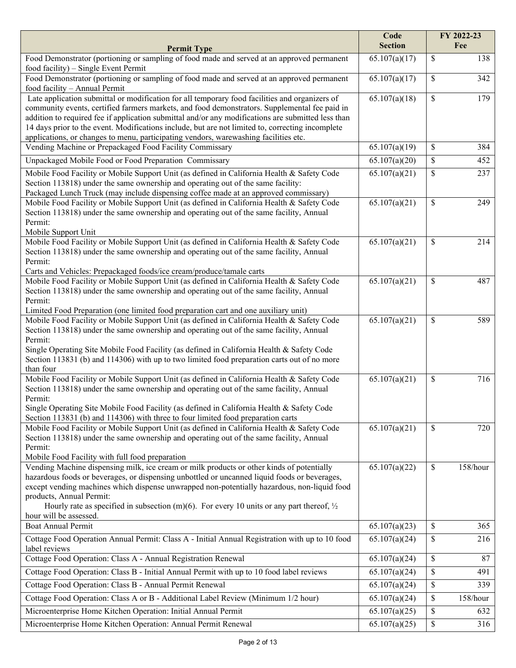|                                                                                                                                                                                           | Code<br><b>Section</b> | FY 2022-23<br>Fee |
|-------------------------------------------------------------------------------------------------------------------------------------------------------------------------------------------|------------------------|-------------------|
| <b>Permit Type</b><br>Food Demonstrator (portioning or sampling of food made and served at an approved permanent                                                                          | 65.107(a)(17)          | \$<br>138         |
| food facility) – Single Event Permit                                                                                                                                                      |                        |                   |
| Food Demonstrator (portioning or sampling of food made and served at an approved permanent                                                                                                | 65.107(a)(17)          | \$<br>342         |
| food facility - Annual Permit<br>Late application submittal or modification for all temporary food facilities and organizers of                                                           | 65.107(a)(18)          | \$<br>179         |
| community events, certified farmers markets, and food demonstrators. Supplemental fee paid in                                                                                             |                        |                   |
| addition to required fee if application submittal and/or any modifications are submitted less than                                                                                        |                        |                   |
| 14 days prior to the event. Modifications include, but are not limited to, correcting incomplete                                                                                          |                        |                   |
| applications, or changes to menu, participating vendors, warewashing facilities etc.                                                                                                      |                        |                   |
| Vending Machine or Prepackaged Food Facility Commissary                                                                                                                                   | 65.107(a)(19)          | \$<br>384         |
| Unpackaged Mobile Food or Food Preparation Commissary                                                                                                                                     | 65.107(a)(20)          | \$<br>452         |
| Mobile Food Facility or Mobile Support Unit (as defined in California Health & Safety Code                                                                                                | 65.107(a)(21)          | \$<br>237         |
| Section 113818) under the same ownership and operating out of the same facility:                                                                                                          |                        |                   |
| Packaged Lunch Truck (may include dispensing coffee made at an approved commissary)                                                                                                       |                        | \$                |
| Mobile Food Facility or Mobile Support Unit (as defined in California Health & Safety Code<br>Section 113818) under the same ownership and operating out of the same facility, Annual     | 65.107(a)(21)          | 249               |
| Permit:                                                                                                                                                                                   |                        |                   |
| Mobile Support Unit                                                                                                                                                                       |                        |                   |
| Mobile Food Facility or Mobile Support Unit (as defined in California Health & Safety Code                                                                                                | 65.107(a)(21)          | \$<br>214         |
| Section 113818) under the same ownership and operating out of the same facility, Annual                                                                                                   |                        |                   |
| Permit:                                                                                                                                                                                   |                        |                   |
| Carts and Vehicles: Prepackaged foods/ice cream/produce/tamale carts<br>Mobile Food Facility or Mobile Support Unit (as defined in California Health & Safety Code                        | 65.107(a)(21)          | \$<br>487         |
| Section 113818) under the same ownership and operating out of the same facility, Annual                                                                                                   |                        |                   |
| Permit:                                                                                                                                                                                   |                        |                   |
| Limited Food Preparation (one limited food preparation cart and one auxiliary unit)                                                                                                       |                        |                   |
| Mobile Food Facility or Mobile Support Unit (as defined in California Health & Safety Code                                                                                                | 65.107(a)(21)          | \$<br>589         |
| Section 113818) under the same ownership and operating out of the same facility, Annual                                                                                                   |                        |                   |
| Permit:<br>Single Operating Site Mobile Food Facility (as defined in California Health & Safety Code                                                                                      |                        |                   |
| Section 113831 (b) and 114306) with up to two limited food preparation carts out of no more                                                                                               |                        |                   |
| than four                                                                                                                                                                                 |                        |                   |
| Mobile Food Facility or Mobile Support Unit (as defined in California Health & Safety Code                                                                                                | 65.107(a)(21)          | \$<br>716         |
| Section 113818) under the same ownership and operating out of the same facility, Annual                                                                                                   |                        |                   |
| Permit:<br>Single Operating Site Mobile Food Facility (as defined in California Health & Safety Code                                                                                      |                        |                   |
| Section 113831 (b) and 114306) with three to four limited food preparation carts                                                                                                          |                        |                   |
| Mobile Food Facility or Mobile Support Unit (as defined in California Health & Safety Code                                                                                                | 65.107(a)(21)          | \$<br>720         |
| Section 113818) under the same ownership and operating out of the same facility, Annual                                                                                                   |                        |                   |
| Permit:                                                                                                                                                                                   |                        |                   |
| Mobile Food Facility with full food preparation                                                                                                                                           |                        |                   |
| Vending Machine dispensing milk, ice cream or milk products or other kinds of potentially<br>hazardous foods or beverages, or dispensing unbottled or uncanned liquid foods or beverages, | 65.107(a)(22)          | \$<br>158/hour    |
| except vending machines which dispense unwrapped non-potentially hazardous, non-liquid food                                                                                               |                        |                   |
| products, Annual Permit:                                                                                                                                                                  |                        |                   |
| Hourly rate as specified in subsection (m)(6). For every 10 units or any part thereof, $\frac{1}{2}$                                                                                      |                        |                   |
| hour will be assessed.                                                                                                                                                                    |                        |                   |
| <b>Boat Annual Permit</b>                                                                                                                                                                 | 65.107(a)(23)          | \$<br>365         |
| Cottage Food Operation Annual Permit: Class A - Initial Annual Registration with up to 10 food<br>label reviews                                                                           | 65.107(a)(24)          | \$<br>216         |
| Cottage Food Operation: Class A - Annual Registration Renewal                                                                                                                             | 65.107(a)(24)          | \$<br>87          |
| Cottage Food Operation: Class B - Initial Annual Permit with up to 10 food label reviews                                                                                                  | 65.107(a)(24)          | \$<br>491         |
| Cottage Food Operation: Class B - Annual Permit Renewal                                                                                                                                   | 65.107(a)(24)          | \$<br>339         |
| Cottage Food Operation: Class A or B - Additional Label Review (Minimum 1/2 hour)                                                                                                         | 65.107(a)(24)          | \$<br>158/hour    |
| Microenterprise Home Kitchen Operation: Initial Annual Permit                                                                                                                             | 65.107(a)(25)          | \$<br>632         |
| Microenterprise Home Kitchen Operation: Annual Permit Renewal                                                                                                                             | 65.107(a)(25)          | \$<br>316         |
|                                                                                                                                                                                           |                        |                   |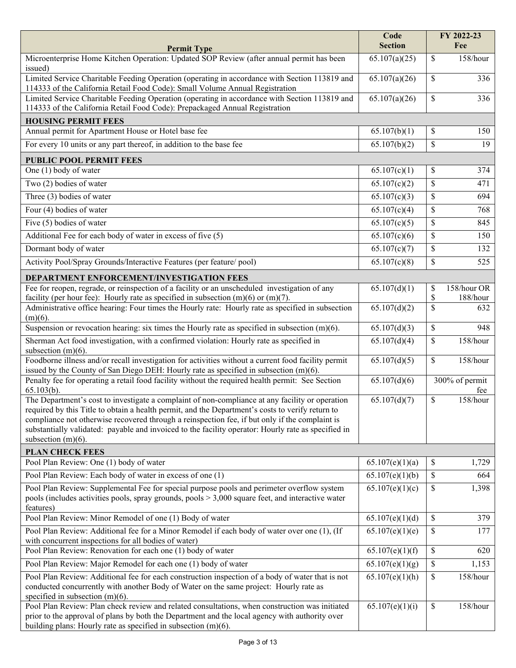| <b>Permit Type</b>                                                                                                                                                                                                                                                                                                                                                                                                                    | Code<br><b>Section</b> | FY 2022-23<br>Fee                   |
|---------------------------------------------------------------------------------------------------------------------------------------------------------------------------------------------------------------------------------------------------------------------------------------------------------------------------------------------------------------------------------------------------------------------------------------|------------------------|-------------------------------------|
| Microenterprise Home Kitchen Operation: Updated SOP Review (after annual permit has been                                                                                                                                                                                                                                                                                                                                              | 65.107(a)(25)          | \$<br>158/hour                      |
| issued)<br>Limited Service Charitable Feeding Operation (operating in accordance with Section 113819 and<br>114333 of the California Retail Food Code): Small Volume Annual Registration                                                                                                                                                                                                                                              | 65.107(a)(26)          | \$<br>336                           |
| Limited Service Charitable Feeding Operation (operating in accordance with Section 113819 and<br>114333 of the California Retail Food Code): Prepackaged Annual Registration                                                                                                                                                                                                                                                          | 65.107(a)(26)          | \$<br>336                           |
| <b>HOUSING PERMIT FEES</b>                                                                                                                                                                                                                                                                                                                                                                                                            |                        |                                     |
| Annual permit for Apartment House or Hotel base fee                                                                                                                                                                                                                                                                                                                                                                                   | 65.107(b)(1)           | \$<br>150                           |
| For every 10 units or any part thereof, in addition to the base fee                                                                                                                                                                                                                                                                                                                                                                   | 65.107(b)(2)           | \$<br>19                            |
| <b>PUBLIC POOL PERMIT FEES</b>                                                                                                                                                                                                                                                                                                                                                                                                        |                        |                                     |
| One (1) body of water                                                                                                                                                                                                                                                                                                                                                                                                                 | 65.107(c)(1)           | \$<br>374                           |
| Two (2) bodies of water                                                                                                                                                                                                                                                                                                                                                                                                               | 65.107(c)(2)           | \$<br>471                           |
| Three (3) bodies of water                                                                                                                                                                                                                                                                                                                                                                                                             | 65.107(c)(3)           | \$<br>694                           |
| Four (4) bodies of water                                                                                                                                                                                                                                                                                                                                                                                                              | 65.107(c)(4)           | \$<br>768                           |
| Five (5) bodies of water                                                                                                                                                                                                                                                                                                                                                                                                              | 65.107(c)(5)           | \$<br>845                           |
| Additional Fee for each body of water in excess of five (5)                                                                                                                                                                                                                                                                                                                                                                           | 65.107(c)(6)           | \$<br>150                           |
| Dormant body of water                                                                                                                                                                                                                                                                                                                                                                                                                 | 65.107(c)(7)           | \$<br>132                           |
| Activity Pool/Spray Grounds/Interactive Features (per feature/ pool)                                                                                                                                                                                                                                                                                                                                                                  | 65.107(c)(8)           | \$<br>525                           |
| DEPARTMENT ENFORCEMENT/INVESTIGATION FEES                                                                                                                                                                                                                                                                                                                                                                                             |                        |                                     |
| Fee for reopen, regrade, or reinspection of a facility or an unscheduled investigation of any<br>facility (per hour fee): Hourly rate as specified in subsection $(m)(6)$ or $(m)(7)$ .                                                                                                                                                                                                                                               | 65.107(d)(1)           | 158/hour OR<br>\$<br>\$<br>188/hour |
| Administrative office hearing: Four times the Hourly rate: Hourly rate as specified in subsection<br>$(m)(6)$ .                                                                                                                                                                                                                                                                                                                       | 65.107(d)(2)           | \$<br>632                           |
| Suspension or revocation hearing: six times the Hourly rate as specified in subsection $(m)(6)$ .                                                                                                                                                                                                                                                                                                                                     | 65.107(d)(3)           | \$<br>948                           |
| Sherman Act food investigation, with a confirmed violation: Hourly rate as specified in<br>subsection $(m)(6)$ .                                                                                                                                                                                                                                                                                                                      | 65.107(d)(4)           | \$<br>158/hour                      |
| Foodborne illness and/or recall investigation for activities without a current food facility permit<br>issued by the County of San Diego DEH: Hourly rate as specified in subsection (m)(6).                                                                                                                                                                                                                                          | 65.107(d)(5)           | \$<br>158/hour                      |
| Penalty fee for operating a retail food facility without the required health permit: See Section<br>$65.103(b)$ .                                                                                                                                                                                                                                                                                                                     | 65.107(d)(6)           | 300% of permit<br>fee               |
| The Department's cost to investigate a complaint of non-compliance at any facility or operation<br>required by this Title to obtain a health permit, and the Department's costs to verify return to<br>compliance not otherwise recovered through a reinspection fee, if but only if the complaint is<br>substantially validated: payable and invoiced to the facility operator: Hourly rate as specified in<br>subsection $(m)(6)$ . | 65.107(d)(7)           | \$<br>158/hour                      |
| <b>PLAN CHECK FEES</b>                                                                                                                                                                                                                                                                                                                                                                                                                |                        |                                     |
| Pool Plan Review: One (1) body of water                                                                                                                                                                                                                                                                                                                                                                                               | 65.107(e)(1)(a)        | \$<br>1,729                         |
| Pool Plan Review: Each body of water in excess of one (1)                                                                                                                                                                                                                                                                                                                                                                             | 65.107(e)(1)(b)        | \$<br>664                           |
| Pool Plan Review: Supplemental Fee for special purpose pools and perimeter overflow system<br>pools (includes activities pools, spray grounds, pools $> 3,000$ square feet, and interactive water<br>features)                                                                                                                                                                                                                        | 65.107(e)(1)(c)        | \$<br>1,398                         |
| Pool Plan Review: Minor Remodel of one (1) Body of water                                                                                                                                                                                                                                                                                                                                                                              | 65.107(e)(1)(d)        | \$<br>379                           |
| Pool Plan Review: Additional fee for a Minor Remodel if each body of water over one (1), (If<br>with concurrent inspections for all bodies of water)                                                                                                                                                                                                                                                                                  | 65.107(e)(1)(e)        | \$<br>177                           |
| Pool Plan Review: Renovation for each one (1) body of water                                                                                                                                                                                                                                                                                                                                                                           | 65.107(e)(1)(f)        | \$<br>620                           |
| Pool Plan Review: Major Remodel for each one (1) body of water                                                                                                                                                                                                                                                                                                                                                                        | 65.107(e)(1)(g)        | \$<br>1,153                         |
| Pool Plan Review: Additional fee for each construction inspection of a body of water that is not<br>conducted concurrently with another Body of Water on the same project: Hourly rate as<br>specified in subsection $(m)(6)$ .                                                                                                                                                                                                       | 65.107(e)(1)(h)        | \$<br>158/hour                      |
| Pool Plan Review: Plan check review and related consultations, when construction was initiated<br>prior to the approval of plans by both the Department and the local agency with authority over<br>building plans: Hourly rate as specified in subsection $(m)(6)$ .                                                                                                                                                                 | 65.107(e)(1)(i)        | \$<br>158/hour                      |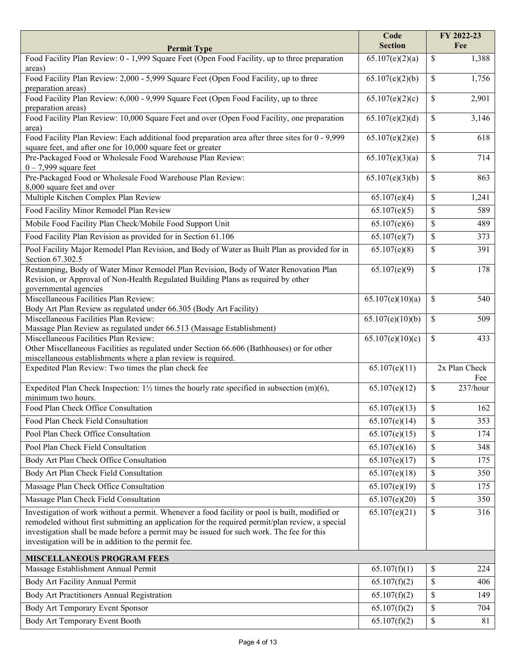| <b>Permit Type</b>                                                                                                                                               | Code<br><b>Section</b>    | FY 2022-23<br>Fee    |
|------------------------------------------------------------------------------------------------------------------------------------------------------------------|---------------------------|----------------------|
| Food Facility Plan Review: 0 - 1,999 Square Feet (Open Food Facility, up to three preparation                                                                    | 65.107(e)(2)(a)           | 1,388<br>\$          |
| areas)                                                                                                                                                           |                           |                      |
| Food Facility Plan Review: 2,000 - 5,999 Square Feet (Open Food Facility, up to three                                                                            | 65.107(e)(2)(b)           | 1,756<br>\$          |
| preparation areas)                                                                                                                                               |                           |                      |
| Food Facility Plan Review: 6,000 - 9,999 Square Feet (Open Food Facility, up to three<br>preparation areas)                                                      | 65.107(e)(2)(c)           | 2,901<br>\$          |
| Food Facility Plan Review: 10,000 Square Feet and over (Open Food Facility, one preparation                                                                      | 65.107(e)(2)(d)           | \$<br>3,146          |
| area)                                                                                                                                                            |                           |                      |
| Food Facility Plan Review: Each additional food preparation area after three sites for 0 - 9,999<br>square feet, and after one for 10,000 square feet or greater | 65.107(e)(2)(e)           | \$<br>618            |
| Pre-Packaged Food or Wholesale Food Warehouse Plan Review:                                                                                                       | 65.107(e)(3)(a)           | \$<br>714            |
| $0 - 7,999$ square feet                                                                                                                                          |                           |                      |
| Pre-Packaged Food or Wholesale Food Warehouse Plan Review:                                                                                                       | 65.107(e)(3)(b)           | \$<br>863            |
| 8,000 square feet and over                                                                                                                                       |                           |                      |
| Multiple Kitchen Complex Plan Review                                                                                                                             | 65.107(e)(4)              | \$<br>1,241          |
| Food Facility Minor Remodel Plan Review                                                                                                                          | 65.107(e)(5)              | \$<br>589            |
| Mobile Food Facility Plan Check/Mobile Food Support Unit                                                                                                         | 65.107(e)(6)              | \$<br>489            |
| Food Facility Plan Revision as provided for in Section 61.106                                                                                                    | 65.107(e)(7)              | \$<br>373            |
| Pool Facility Major Remodel Plan Revision, and Body of Water as Built Plan as provided for in<br>Section 67.302.5                                                | 65.107(e)(8)              | \$<br>391            |
| Restamping, Body of Water Minor Remodel Plan Revision, Body of Water Renovation Plan                                                                             | $\overline{65.107(e)(9)}$ | \$<br>178            |
| Revision, or Approval of Non-Health Regulated Building Plans as required by other                                                                                |                           |                      |
| governmental agencies                                                                                                                                            |                           |                      |
| Miscellaneous Facilities Plan Review:                                                                                                                            | 65.107(e)(10)(a)          | \$<br>540            |
| Body Art Plan Review as regulated under 66.305 (Body Art Facility)<br>Miscellaneous Facilities Plan Review:                                                      |                           |                      |
| Massage Plan Review as regulated under 66.513 (Massage Establishment)                                                                                            | 65.107(e)(10)(b)          | \$<br>509            |
| Miscellaneous Facilities Plan Review:                                                                                                                            | 65.107(e)(10)(c)          | \$<br>433            |
| Other Miscellaneous Facilities as regulated under Section 66.606 (Bathhouses) or for other                                                                       |                           |                      |
| miscellaneous establishments where a plan review is required.                                                                                                    |                           |                      |
| Expedited Plan Review: Two times the plan check fee                                                                                                              | 65.107(e)(11)             | 2x Plan Check<br>Fee |
| Expedited Plan Check Inspection: $1\frac{1}{2}$ times the hourly rate specified in subsection (m)(6),<br>minimum two hours.                                      | 65.107(e)(12)             | \$<br>237/hour       |
| Food Plan Check Office Consultation                                                                                                                              | 65.107(e)(13)             | \$<br>162            |
| Food Plan Check Field Consultation                                                                                                                               | 65.107(e)(14)             | \$<br>353            |
| Pool Plan Check Office Consultation                                                                                                                              | 65.107(e)(15)             | \$<br>174            |
| Pool Plan Check Field Consultation                                                                                                                               | 65.107(e)(16)             | \$<br>348            |
| Body Art Plan Check Office Consultation                                                                                                                          | 65.107(e)(17)             | \$<br>175            |
|                                                                                                                                                                  |                           |                      |
| Body Art Plan Check Field Consultation                                                                                                                           | 65.107(e)(18)             | \$<br>350            |
| Massage Plan Check Office Consultation                                                                                                                           | 65.107(e)(19)             | \$<br>175            |
| Massage Plan Check Field Consultation                                                                                                                            | 65.107(e)(20)             | \$<br>350            |
| Investigation of work without a permit. Whenever a food facility or pool is built, modified or                                                                   | 65.107(e)(21)             | \$<br>316            |
| remodeled without first submitting an application for the required permit/plan review, a special                                                                 |                           |                      |
| investigation shall be made before a permit may be issued for such work. The fee for this<br>investigation will be in addition to the permit fee.                |                           |                      |
|                                                                                                                                                                  |                           |                      |
| <b>MISCELLANEOUS PROGRAM FEES</b>                                                                                                                                |                           |                      |
| Massage Establishment Annual Permit                                                                                                                              | 65.107(f)(1)              | \$<br>224            |
| Body Art Facility Annual Permit                                                                                                                                  | 65.107(f)(2)              | \$<br>406            |
| Body Art Practitioners Annual Registration                                                                                                                       | 65.107(f)(2)              | \$<br>149            |
| Body Art Temporary Event Sponsor                                                                                                                                 | 65.107(f)(2)              | \$<br>704            |
| Body Art Temporary Event Booth                                                                                                                                   | 65.107(f)(2)              | \$<br>81             |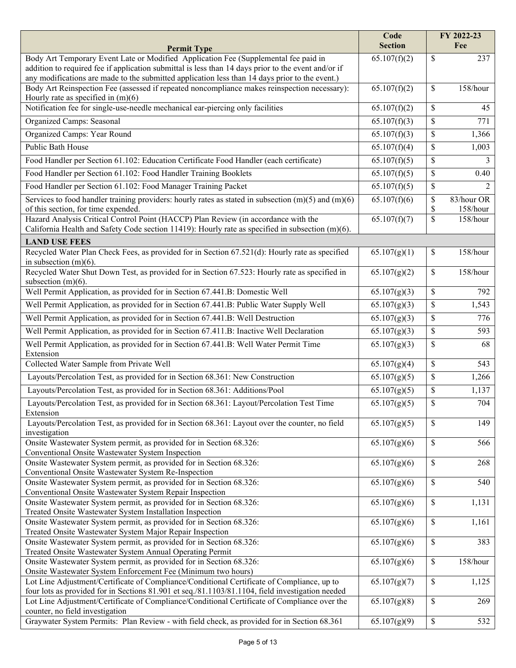|                                                                                                                                                | Code<br><b>Section</b>    | FY 2022-23<br>Fee                  |
|------------------------------------------------------------------------------------------------------------------------------------------------|---------------------------|------------------------------------|
| <b>Permit Type</b><br>Body Art Temporary Event Late or Modified Application Fee (Supplemental fee paid in                                      | 65.107(f)(2)              | \$<br>237                          |
| addition to required fee if application submittal is less than 14 days prior to the event and/or if                                            |                           |                                    |
| any modifications are made to the submitted application less than 14 days prior to the event.)                                                 |                           |                                    |
| Body Art Reinspection Fee (assessed if repeated noncompliance makes reinspection necessary):<br>Hourly rate as specified in $(m)(6)$           | 65.107(f)(2)              | \$<br>158/hour                     |
| Notification fee for single-use-needle mechanical ear-piercing only facilities                                                                 | 65.107(f)(2)              | \$<br>45                           |
| Organized Camps: Seasonal                                                                                                                      | 65.107(f)(3)              | \$<br>771                          |
| Organized Camps: Year Round                                                                                                                    | 65.107(f)(3)              | \$<br>1,366                        |
| Public Bath House                                                                                                                              | 65.107(f)(4)              | \$<br>1,003                        |
| Food Handler per Section 61.102: Education Certificate Food Handler (each certificate)                                                         | 65.107(f)(5)              | \$<br>3                            |
| Food Handler per Section 61.102: Food Handler Training Booklets                                                                                | $\overline{65.107(f)(5)}$ | \$<br>0.40                         |
|                                                                                                                                                |                           |                                    |
| Food Handler per Section 61.102: Food Manager Training Packet                                                                                  | 65.107(f)(5)              | \$<br>2                            |
| Services to food handler training providers: hourly rates as stated in subsection $(m)(5)$ and $(m)(6)$<br>of this section, for time expended. | 65.107(f)(6)              | \$<br>83/hour OR<br>\$<br>158/hour |
| Hazard Analysis Critical Control Point (HACCP) Plan Review (in accordance with the                                                             | 65.107(f)(7)              | \$<br>158/hour                     |
| California Health and Safety Code section 11419): Hourly rate as specified in subsection (m)(6).                                               |                           |                                    |
| <b>LAND USE FEES</b>                                                                                                                           |                           |                                    |
| Recycled Water Plan Check Fees, as provided for in Section 67.521(d): Hourly rate as specified                                                 | 65.107(g)(1)              | 158/hour<br>\$                     |
| in subsection $(m)(6)$ .                                                                                                                       |                           |                                    |
| Recycled Water Shut Down Test, as provided for in Section 67.523: Hourly rate as specified in<br>subsection $(m)(6)$ .                         | 65.107(g)(2)              | \$<br>158/hour                     |
| Well Permit Application, as provided for in Section 67.441.B: Domestic Well                                                                    | 65.107(g)(3)              | \$<br>792                          |
| Well Permit Application, as provided for in Section 67.441.B: Public Water Supply Well                                                         | 65.107(g)(3)              | \$<br>1,543                        |
| Well Permit Application, as provided for in Section 67.441.B: Well Destruction                                                                 | 65.107(g)(3)              | \$<br>776                          |
|                                                                                                                                                |                           |                                    |
| Well Permit Application, as provided for in Section 67.411.B: Inactive Well Declaration                                                        | 65.107(g)(3)              | \$<br>593                          |
| Well Permit Application, as provided for in Section 67.441.B: Well Water Permit Time<br>Extension                                              | 65.107(g)(3)              | \$<br>68                           |
| Collected Water Sample from Private Well                                                                                                       | 65.107(g)(4)              | \$<br>543                          |
| Layouts/Percolation Test, as provided for in Section 68.361: New Construction                                                                  | 65.107(g)(5)              | \$<br>1,266                        |
| Layouts/Percolation Test, as provided for in Section 68.361: Additions/Pool                                                                    | 65.107(g)(5)              | \$<br>1,137                        |
| Layouts/Percolation Test, as provided for in Section 68.361: Layout/Percolation Test Time<br>Extension                                         | 65.107(g)(5)              | \$<br>704                          |
| Layouts/Percolation Test, as provided for in Section 68.361: Layout over the counter, no field                                                 | 65.107(g)(5)              | \$<br>149                          |
| investigation                                                                                                                                  |                           |                                    |
| Onsite Wastewater System permit, as provided for in Section 68.326:<br>Conventional Onsite Wastewater System Inspection                        | 65.107(g)(6)              | \$<br>566                          |
| Onsite Wastewater System permit, as provided for in Section 68.326:                                                                            | 65.107(g)(6)              | \$<br>268                          |
| Conventional Onsite Wastewater System Re-Inspection<br>Onsite Wastewater System permit, as provided for in Section 68.326:                     | 65.107(g)(6)              | \$<br>540                          |
| Conventional Onsite Wastewater System Repair Inspection                                                                                        |                           |                                    |
| Onsite Wastewater System permit, as provided for in Section 68.326:                                                                            | 65.107(g)(6)              | \$<br>1,131                        |
| Treated Onsite Wastewater System Installation Inspection                                                                                       |                           |                                    |
| Onsite Wastewater System permit, as provided for in Section 68.326:                                                                            | 65.107(g)(6)              | \$<br>1,161                        |
| Treated Onsite Wastewater System Major Repair Inspection<br>Onsite Wastewater System permit, as provided for in Section 68.326:                | 65.107(g)(6)              | \$<br>383                          |
| Treated Onsite Wastewater System Annual Operating Permit                                                                                       |                           |                                    |
| Onsite Wastewater System permit, as provided for in Section 68.326:<br>Onsite Wastewater System Enforcement Fee (Minimum two hours)            | 65.107(g)(6)              | \$<br>158/hour                     |
| Lot Line Adjustment/Certificate of Compliance/Conditional Certificate of Compliance, up to                                                     | 65.107(g)(7)              | \$<br>1,125                        |
| four lots as provided for in Sections 81.901 et seq./81.1103/81.1104, field investigation needed                                               |                           |                                    |
| Lot Line Adjustment/Certificate of Compliance/Conditional Certificate of Compliance over the                                                   | 65.107(g)(8)              | \$<br>269                          |
| counter, no field investigation                                                                                                                |                           |                                    |
| Graywater System Permits: Plan Review - with field check, as provided for in Section 68.361                                                    | 65.107(g)(9)              | \$<br>532                          |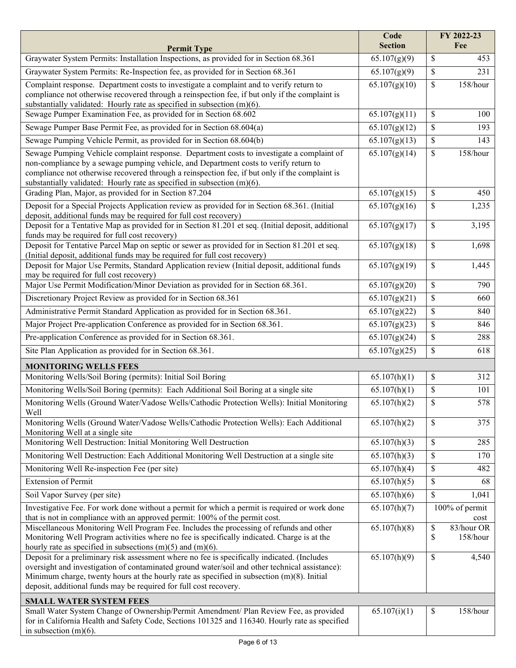|                                                                                                                                                                                                                                                                                                                                                                     | Code<br><b>Section</b>    | FY 2022-23<br>Fee                  |
|---------------------------------------------------------------------------------------------------------------------------------------------------------------------------------------------------------------------------------------------------------------------------------------------------------------------------------------------------------------------|---------------------------|------------------------------------|
| <b>Permit Type</b><br>Graywater System Permits: Installation Inspections, as provided for in Section 68.361                                                                                                                                                                                                                                                         | $\overline{65.107(g)(9)}$ | \$<br>453                          |
| Graywater System Permits: Re-Inspection fee, as provided for in Section 68.361                                                                                                                                                                                                                                                                                      | $\overline{65.107(g)(9)}$ | \$<br>231                          |
| Complaint response. Department costs to investigate a complaint and to verify return to<br>compliance not otherwise recovered through a reinspection fee, if but only if the complaint is<br>substantially validated: Hourly rate as specified in subsection (m)(6).                                                                                                | 65.107(g)(10)             | \$<br>158/hour                     |
| Sewage Pumper Examination Fee, as provided for in Section 68.602                                                                                                                                                                                                                                                                                                    | 65.107(g)(11)             | \$<br>100                          |
| Sewage Pumper Base Permit Fee, as provided for in Section 68.604(a)                                                                                                                                                                                                                                                                                                 | 65.107(g)(12)             | \$<br>193                          |
| Sewage Pumping Vehicle Permit, as provided for in Section 68.604(b)                                                                                                                                                                                                                                                                                                 | 65.107(g)(13)             | \$<br>143                          |
| Sewage Pumping Vehicle complaint response. Department costs to investigate a complaint of<br>non-compliance by a sewage pumping vehicle, and Department costs to verify return to<br>compliance not otherwise recovered through a reinspection fee, if but only if the complaint is<br>substantially validated: Hourly rate as specified in subsection (m)(6).      | 65.107(g)(14)             | \$<br>158/hour                     |
| Grading Plan, Major, as provided for in Section 87.204                                                                                                                                                                                                                                                                                                              | 65.107(g)(15)             | \$<br>450                          |
| Deposit for a Special Projects Application review as provided for in Section 68.361. (Initial<br>deposit, additional funds may be required for full cost recovery)                                                                                                                                                                                                  | 65.107(g)(16)             | \$<br>1,235                        |
| Deposit for a Tentative Map as provided for in Section 81.201 et seq. (Initial deposit, additional<br>funds may be required for full cost recovery)                                                                                                                                                                                                                 | 65.107(g)(17)             | \$<br>3,195                        |
| Deposit for Tentative Parcel Map on septic or sewer as provided for in Section 81.201 et seq.<br>(Initial deposit, additional funds may be required for full cost recovery)                                                                                                                                                                                         | 65.107(g)(18)             | \$<br>1,698                        |
| Deposit for Major Use Permits, Standard Application review (Initial deposit, additional funds<br>may be required for full cost recovery)                                                                                                                                                                                                                            | 65.107(g)(19)             | \$<br>1,445                        |
| Major Use Permit Modification/Minor Deviation as provided for in Section 68.361.                                                                                                                                                                                                                                                                                    | 65.107(g)(20)             | \$<br>790                          |
| Discretionary Project Review as provided for in Section 68.361                                                                                                                                                                                                                                                                                                      | 65.107(g)(21)             | \$<br>660                          |
| Administrative Permit Standard Application as provided for in Section 68.361.                                                                                                                                                                                                                                                                                       | 65.107(g)(22)             | \$<br>840                          |
| Major Project Pre-application Conference as provided for in Section 68.361.                                                                                                                                                                                                                                                                                         | 65.107(g)(23)             | \$<br>846                          |
| Pre-application Conference as provided for in Section 68.361.                                                                                                                                                                                                                                                                                                       | 65.107(g)(24)             | \$<br>288                          |
| Site Plan Application as provided for in Section 68.361.                                                                                                                                                                                                                                                                                                            | 65.107(g)(25)             | \$<br>618                          |
| <b>MONITORING WELLS FEES</b>                                                                                                                                                                                                                                                                                                                                        |                           |                                    |
| Monitoring Wells/Soil Boring (permits): Initial Soil Boring                                                                                                                                                                                                                                                                                                         | 65.107(h)(1)              | \$<br>312                          |
| Monitoring Wells/Soil Boring (permits): Each Additional Soil Boring at a single site                                                                                                                                                                                                                                                                                | 65.107(h)(1)              | \$<br>101                          |
| Monitoring Wells (Ground Water/Vadose Wells/Cathodic Protection Wells): Initial Monitoring<br>Well                                                                                                                                                                                                                                                                  | 65.107(h)(2)              | \$<br>578                          |
| Monitoring Wells (Ground Water/Vadose Wells/Cathodic Protection Wells): Each Additional<br>Monitoring Well at a single site                                                                                                                                                                                                                                         | 65.107(h)(2)              | \$<br>375                          |
| Monitoring Well Destruction: Initial Monitoring Well Destruction                                                                                                                                                                                                                                                                                                    | 65.107(h)(3)              | \$<br>285                          |
| Monitoring Well Destruction: Each Additional Monitoring Well Destruction at a single site                                                                                                                                                                                                                                                                           | 65.107(h)(3)              | \$<br>170                          |
| Monitoring Well Re-inspection Fee (per site)                                                                                                                                                                                                                                                                                                                        | 65.107(h)(4)              | \$<br>482                          |
| <b>Extension of Permit</b>                                                                                                                                                                                                                                                                                                                                          | 65.107(h)(5)              | \$<br>68                           |
| Soil Vapor Survey (per site)                                                                                                                                                                                                                                                                                                                                        | 65.107(h)(6)              | \$<br>1,041                        |
| Investigative Fee. For work done without a permit for which a permit is required or work done<br>that is not in compliance with an approved permit: 100% of the permit cost.                                                                                                                                                                                        | 65.107(h)(7)              | 100% of permit<br>cost             |
| Miscellaneous Monitoring Well Program Fee. Includes the processing of refunds and other<br>Monitoring Well Program activities where no fee is specifically indicated. Charge is at the<br>hourly rate as specified in subsections $(m)(5)$ and $(m)(6)$ .                                                                                                           | 65.107(h)(8)              | \$<br>83/hour OR<br>\$<br>158/hour |
| Deposit for a preliminary risk assessment where no fee is specifically indicated. (Includes<br>oversight and investigation of contaminated ground water/soil and other technical assistance):<br>Minimum charge, twenty hours at the hourly rate as specified in subsection $(m)(8)$ . Initial<br>deposit, additional funds may be required for full cost recovery. | 65.107(h)(9)              | \$<br>4,540                        |
| <b>SMALL WATER SYSTEM FEES</b>                                                                                                                                                                                                                                                                                                                                      |                           |                                    |
| Small Water System Change of Ownership/Permit Amendment/ Plan Review Fee, as provided<br>for in California Health and Safety Code, Sections 101325 and 116340. Hourly rate as specified<br>in subsection $(m)(6)$ .                                                                                                                                                 | 65.107(i)(1)              | \$<br>158/hour                     |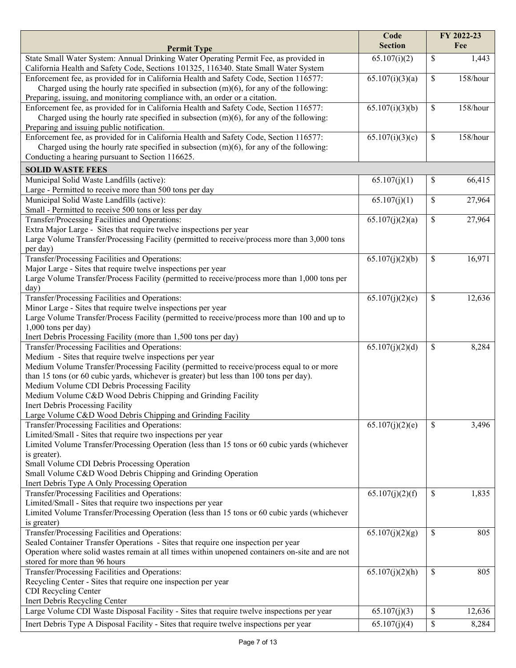| State Small Water System: Annual Drinking Water Operating Permit Fee, as provided in<br>65.107(i)(2)<br>\$<br>1,443<br>California Health and Safety Code, Sections 101325, 116340. State Small Water System<br>65.107(i)(3)(a)<br>Enforcement fee, as provided for in California Health and Safety Code, Section 116577:<br>\$<br>158/hour<br>Charged using the hourly rate specified in subsection $(m)(6)$ , for any of the following:<br>Preparing, issuing, and monitoring compliance with, an order or a citation.<br>Enforcement fee, as provided for in California Health and Safety Code, Section 116577:<br>65.107(i)(3)(b)<br>\$<br>158/hour<br>Charged using the hourly rate specified in subsection $(m)(6)$ , for any of the following:<br>Preparing and issuing public notification.<br>Enforcement fee, as provided for in California Health and Safety Code, Section 116577:<br>65.107(i)(3)(c)<br>\$<br>158/hour<br>Charged using the hourly rate specified in subsection $(m)(6)$ , for any of the following:<br>Conducting a hearing pursuant to Section 116625.<br><b>SOLID WASTE FEES</b><br>66,415<br>Municipal Solid Waste Landfills (active):<br>65.107(j)(1)<br>\$<br>Large - Permitted to receive more than 500 tons per day<br>Municipal Solid Waste Landfills (active):<br>65.107(j)(1)<br>\$<br>27,964<br>Small - Permitted to receive 500 tons or less per day<br>Transfer/Processing Facilities and Operations:<br>65.107(j)(2)(a)<br>\$<br>27,964<br>Extra Major Large - Sites that require twelve inspections per year<br>Large Volume Transfer/Processing Facility (permitted to receive/process more than 3,000 tons<br>per day)<br>Transfer/Processing Facilities and Operations:<br>\$<br>16,971<br>65.107(j)(2)(b)<br>Major Large - Sites that require twelve inspections per year<br>Large Volume Transfer/Process Facility (permitted to receive/process more than 1,000 tons per<br>day)<br>Transfer/Processing Facilities and Operations:<br>65.107(j)(2)(c)<br>\$<br>12,636<br>Minor Large - Sites that require twelve inspections per year<br>Large Volume Transfer/Process Facility (permitted to receive/process more than 100 and up to<br>1,000 tons per day)<br>Inert Debris Processing Facility (more than 1,500 tons per day)<br>Transfer/Processing Facilities and Operations:<br>65.107(j)(2)(d)<br>\$<br>8,284<br>Medium - Sites that require twelve inspections per year<br>Medium Volume Transfer/Processing Facility (permitted to receive/process equal to or more<br>than 15 tons (or 60 cubic yards, whichever is greater) but less than 100 tons per day).<br>Medium Volume CDI Debris Processing Facility<br>Medium Volume C&D Wood Debris Chipping and Grinding Facility<br>Inert Debris Processing Facility<br>Large Volume C&D Wood Debris Chipping and Grinding Facility<br>Transfer/Processing Facilities and Operations:<br>3,496<br>65.107(j)(2)(e)<br>\$<br>Limited/Small - Sites that require two inspections per year<br>Limited Volume Transfer/Processing Operation (less than 15 tons or 60 cubic yards (whichever<br>is greater).<br>Small Volume CDI Debris Processing Operation<br>Small Volume C&D Wood Debris Chipping and Grinding Operation<br>Inert Debris Type A Only Processing Operation<br>Transfer/Processing Facilities and Operations:<br>65.107(j)(2)(f)<br>\$<br>1,835<br>Limited/Small - Sites that require two inspections per year<br>Limited Volume Transfer/Processing Operation (less than 15 tons or 60 cubic yards (whichever<br>is greater)<br>Transfer/Processing Facilities and Operations:<br>65.107(j)(2)(g)<br>\$<br>805<br>Sealed Container Transfer Operations - Sites that require one inspection per year<br>Operation where solid wastes remain at all times within unopened containers on-site and are not<br>stored for more than 96 hours<br>Transfer/Processing Facilities and Operations:<br>65.107(j)(2)(h)<br>\$<br>805<br>Recycling Center - Sites that require one inspection per year<br>CDI Recycling Center<br>Inert Debris Recycling Center<br>Large Volume CDI Waste Disposal Facility - Sites that require twelve inspections per year<br>\$<br>12,636<br>65.107(j)(3) |                                                                                        | Code                      |             | FY 2022-23 |
|------------------------------------------------------------------------------------------------------------------------------------------------------------------------------------------------------------------------------------------------------------------------------------------------------------------------------------------------------------------------------------------------------------------------------------------------------------------------------------------------------------------------------------------------------------------------------------------------------------------------------------------------------------------------------------------------------------------------------------------------------------------------------------------------------------------------------------------------------------------------------------------------------------------------------------------------------------------------------------------------------------------------------------------------------------------------------------------------------------------------------------------------------------------------------------------------------------------------------------------------------------------------------------------------------------------------------------------------------------------------------------------------------------------------------------------------------------------------------------------------------------------------------------------------------------------------------------------------------------------------------------------------------------------------------------------------------------------------------------------------------------------------------------------------------------------------------------------------------------------------------------------------------------------------------------------------------------------------------------------------------------------------------------------------------------------------------------------------------------------------------------------------------------------------------------------------------------------------------------------------------------------------------------------------------------------------------------------------------------------------------------------------------------------------------------------------------------------------------------------------------------------------------------------------------------------------------------------------------------------------------------------------------------------------------------------------------------------------------------------------------------------------------------------------------------------------------------------------------------------------------------------------------------------------------------------------------------------------------------------------------------------------------------------------------------------------------------------------------------------------------------------------------------------------------------------------------------------------------------------------------------------------------------------------------------------------------------------------------------------------------------------------------------------------------------------------------------------------------------------------------------------------------------------------------------------------------------------------------------------------------------------------------------------------------------------------------------------------------------------------------------------------------------------------------------------------------------------------------------------------------------------------------------------------------------------------------------------------------------------------------------------------------------------------------------------------------------------------------------------------------------------------------------------------------------------------------|----------------------------------------------------------------------------------------|---------------------------|-------------|------------|
|                                                                                                                                                                                                                                                                                                                                                                                                                                                                                                                                                                                                                                                                                                                                                                                                                                                                                                                                                                                                                                                                                                                                                                                                                                                                                                                                                                                                                                                                                                                                                                                                                                                                                                                                                                                                                                                                                                                                                                                                                                                                                                                                                                                                                                                                                                                                                                                                                                                                                                                                                                                                                                                                                                                                                                                                                                                                                                                                                                                                                                                                                                                                                                                                                                                                                                                                                                                                                                                                                                                                                                                                                                                                                                                                                                                                                                                                                                                                                                                                                                                                                                                                                                                                      | <b>Permit Type</b>                                                                     | <b>Section</b>            |             | Fee        |
|                                                                                                                                                                                                                                                                                                                                                                                                                                                                                                                                                                                                                                                                                                                                                                                                                                                                                                                                                                                                                                                                                                                                                                                                                                                                                                                                                                                                                                                                                                                                                                                                                                                                                                                                                                                                                                                                                                                                                                                                                                                                                                                                                                                                                                                                                                                                                                                                                                                                                                                                                                                                                                                                                                                                                                                                                                                                                                                                                                                                                                                                                                                                                                                                                                                                                                                                                                                                                                                                                                                                                                                                                                                                                                                                                                                                                                                                                                                                                                                                                                                                                                                                                                                                      |                                                                                        |                           |             |            |
|                                                                                                                                                                                                                                                                                                                                                                                                                                                                                                                                                                                                                                                                                                                                                                                                                                                                                                                                                                                                                                                                                                                                                                                                                                                                                                                                                                                                                                                                                                                                                                                                                                                                                                                                                                                                                                                                                                                                                                                                                                                                                                                                                                                                                                                                                                                                                                                                                                                                                                                                                                                                                                                                                                                                                                                                                                                                                                                                                                                                                                                                                                                                                                                                                                                                                                                                                                                                                                                                                                                                                                                                                                                                                                                                                                                                                                                                                                                                                                                                                                                                                                                                                                                                      |                                                                                        |                           |             |            |
|                                                                                                                                                                                                                                                                                                                                                                                                                                                                                                                                                                                                                                                                                                                                                                                                                                                                                                                                                                                                                                                                                                                                                                                                                                                                                                                                                                                                                                                                                                                                                                                                                                                                                                                                                                                                                                                                                                                                                                                                                                                                                                                                                                                                                                                                                                                                                                                                                                                                                                                                                                                                                                                                                                                                                                                                                                                                                                                                                                                                                                                                                                                                                                                                                                                                                                                                                                                                                                                                                                                                                                                                                                                                                                                                                                                                                                                                                                                                                                                                                                                                                                                                                                                                      |                                                                                        |                           |             |            |
|                                                                                                                                                                                                                                                                                                                                                                                                                                                                                                                                                                                                                                                                                                                                                                                                                                                                                                                                                                                                                                                                                                                                                                                                                                                                                                                                                                                                                                                                                                                                                                                                                                                                                                                                                                                                                                                                                                                                                                                                                                                                                                                                                                                                                                                                                                                                                                                                                                                                                                                                                                                                                                                                                                                                                                                                                                                                                                                                                                                                                                                                                                                                                                                                                                                                                                                                                                                                                                                                                                                                                                                                                                                                                                                                                                                                                                                                                                                                                                                                                                                                                                                                                                                                      |                                                                                        |                           |             |            |
|                                                                                                                                                                                                                                                                                                                                                                                                                                                                                                                                                                                                                                                                                                                                                                                                                                                                                                                                                                                                                                                                                                                                                                                                                                                                                                                                                                                                                                                                                                                                                                                                                                                                                                                                                                                                                                                                                                                                                                                                                                                                                                                                                                                                                                                                                                                                                                                                                                                                                                                                                                                                                                                                                                                                                                                                                                                                                                                                                                                                                                                                                                                                                                                                                                                                                                                                                                                                                                                                                                                                                                                                                                                                                                                                                                                                                                                                                                                                                                                                                                                                                                                                                                                                      |                                                                                        |                           |             |            |
|                                                                                                                                                                                                                                                                                                                                                                                                                                                                                                                                                                                                                                                                                                                                                                                                                                                                                                                                                                                                                                                                                                                                                                                                                                                                                                                                                                                                                                                                                                                                                                                                                                                                                                                                                                                                                                                                                                                                                                                                                                                                                                                                                                                                                                                                                                                                                                                                                                                                                                                                                                                                                                                                                                                                                                                                                                                                                                                                                                                                                                                                                                                                                                                                                                                                                                                                                                                                                                                                                                                                                                                                                                                                                                                                                                                                                                                                                                                                                                                                                                                                                                                                                                                                      |                                                                                        |                           |             |            |
|                                                                                                                                                                                                                                                                                                                                                                                                                                                                                                                                                                                                                                                                                                                                                                                                                                                                                                                                                                                                                                                                                                                                                                                                                                                                                                                                                                                                                                                                                                                                                                                                                                                                                                                                                                                                                                                                                                                                                                                                                                                                                                                                                                                                                                                                                                                                                                                                                                                                                                                                                                                                                                                                                                                                                                                                                                                                                                                                                                                                                                                                                                                                                                                                                                                                                                                                                                                                                                                                                                                                                                                                                                                                                                                                                                                                                                                                                                                                                                                                                                                                                                                                                                                                      |                                                                                        |                           |             |            |
|                                                                                                                                                                                                                                                                                                                                                                                                                                                                                                                                                                                                                                                                                                                                                                                                                                                                                                                                                                                                                                                                                                                                                                                                                                                                                                                                                                                                                                                                                                                                                                                                                                                                                                                                                                                                                                                                                                                                                                                                                                                                                                                                                                                                                                                                                                                                                                                                                                                                                                                                                                                                                                                                                                                                                                                                                                                                                                                                                                                                                                                                                                                                                                                                                                                                                                                                                                                                                                                                                                                                                                                                                                                                                                                                                                                                                                                                                                                                                                                                                                                                                                                                                                                                      |                                                                                        |                           |             |            |
|                                                                                                                                                                                                                                                                                                                                                                                                                                                                                                                                                                                                                                                                                                                                                                                                                                                                                                                                                                                                                                                                                                                                                                                                                                                                                                                                                                                                                                                                                                                                                                                                                                                                                                                                                                                                                                                                                                                                                                                                                                                                                                                                                                                                                                                                                                                                                                                                                                                                                                                                                                                                                                                                                                                                                                                                                                                                                                                                                                                                                                                                                                                                                                                                                                                                                                                                                                                                                                                                                                                                                                                                                                                                                                                                                                                                                                                                                                                                                                                                                                                                                                                                                                                                      |                                                                                        |                           |             |            |
|                                                                                                                                                                                                                                                                                                                                                                                                                                                                                                                                                                                                                                                                                                                                                                                                                                                                                                                                                                                                                                                                                                                                                                                                                                                                                                                                                                                                                                                                                                                                                                                                                                                                                                                                                                                                                                                                                                                                                                                                                                                                                                                                                                                                                                                                                                                                                                                                                                                                                                                                                                                                                                                                                                                                                                                                                                                                                                                                                                                                                                                                                                                                                                                                                                                                                                                                                                                                                                                                                                                                                                                                                                                                                                                                                                                                                                                                                                                                                                                                                                                                                                                                                                                                      |                                                                                        |                           |             |            |
|                                                                                                                                                                                                                                                                                                                                                                                                                                                                                                                                                                                                                                                                                                                                                                                                                                                                                                                                                                                                                                                                                                                                                                                                                                                                                                                                                                                                                                                                                                                                                                                                                                                                                                                                                                                                                                                                                                                                                                                                                                                                                                                                                                                                                                                                                                                                                                                                                                                                                                                                                                                                                                                                                                                                                                                                                                                                                                                                                                                                                                                                                                                                                                                                                                                                                                                                                                                                                                                                                                                                                                                                                                                                                                                                                                                                                                                                                                                                                                                                                                                                                                                                                                                                      |                                                                                        |                           |             |            |
|                                                                                                                                                                                                                                                                                                                                                                                                                                                                                                                                                                                                                                                                                                                                                                                                                                                                                                                                                                                                                                                                                                                                                                                                                                                                                                                                                                                                                                                                                                                                                                                                                                                                                                                                                                                                                                                                                                                                                                                                                                                                                                                                                                                                                                                                                                                                                                                                                                                                                                                                                                                                                                                                                                                                                                                                                                                                                                                                                                                                                                                                                                                                                                                                                                                                                                                                                                                                                                                                                                                                                                                                                                                                                                                                                                                                                                                                                                                                                                                                                                                                                                                                                                                                      |                                                                                        |                           |             |            |
|                                                                                                                                                                                                                                                                                                                                                                                                                                                                                                                                                                                                                                                                                                                                                                                                                                                                                                                                                                                                                                                                                                                                                                                                                                                                                                                                                                                                                                                                                                                                                                                                                                                                                                                                                                                                                                                                                                                                                                                                                                                                                                                                                                                                                                                                                                                                                                                                                                                                                                                                                                                                                                                                                                                                                                                                                                                                                                                                                                                                                                                                                                                                                                                                                                                                                                                                                                                                                                                                                                                                                                                                                                                                                                                                                                                                                                                                                                                                                                                                                                                                                                                                                                                                      |                                                                                        |                           |             |            |
|                                                                                                                                                                                                                                                                                                                                                                                                                                                                                                                                                                                                                                                                                                                                                                                                                                                                                                                                                                                                                                                                                                                                                                                                                                                                                                                                                                                                                                                                                                                                                                                                                                                                                                                                                                                                                                                                                                                                                                                                                                                                                                                                                                                                                                                                                                                                                                                                                                                                                                                                                                                                                                                                                                                                                                                                                                                                                                                                                                                                                                                                                                                                                                                                                                                                                                                                                                                                                                                                                                                                                                                                                                                                                                                                                                                                                                                                                                                                                                                                                                                                                                                                                                                                      |                                                                                        |                           |             |            |
|                                                                                                                                                                                                                                                                                                                                                                                                                                                                                                                                                                                                                                                                                                                                                                                                                                                                                                                                                                                                                                                                                                                                                                                                                                                                                                                                                                                                                                                                                                                                                                                                                                                                                                                                                                                                                                                                                                                                                                                                                                                                                                                                                                                                                                                                                                                                                                                                                                                                                                                                                                                                                                                                                                                                                                                                                                                                                                                                                                                                                                                                                                                                                                                                                                                                                                                                                                                                                                                                                                                                                                                                                                                                                                                                                                                                                                                                                                                                                                                                                                                                                                                                                                                                      |                                                                                        |                           |             |            |
|                                                                                                                                                                                                                                                                                                                                                                                                                                                                                                                                                                                                                                                                                                                                                                                                                                                                                                                                                                                                                                                                                                                                                                                                                                                                                                                                                                                                                                                                                                                                                                                                                                                                                                                                                                                                                                                                                                                                                                                                                                                                                                                                                                                                                                                                                                                                                                                                                                                                                                                                                                                                                                                                                                                                                                                                                                                                                                                                                                                                                                                                                                                                                                                                                                                                                                                                                                                                                                                                                                                                                                                                                                                                                                                                                                                                                                                                                                                                                                                                                                                                                                                                                                                                      |                                                                                        |                           |             |            |
|                                                                                                                                                                                                                                                                                                                                                                                                                                                                                                                                                                                                                                                                                                                                                                                                                                                                                                                                                                                                                                                                                                                                                                                                                                                                                                                                                                                                                                                                                                                                                                                                                                                                                                                                                                                                                                                                                                                                                                                                                                                                                                                                                                                                                                                                                                                                                                                                                                                                                                                                                                                                                                                                                                                                                                                                                                                                                                                                                                                                                                                                                                                                                                                                                                                                                                                                                                                                                                                                                                                                                                                                                                                                                                                                                                                                                                                                                                                                                                                                                                                                                                                                                                                                      |                                                                                        |                           |             |            |
|                                                                                                                                                                                                                                                                                                                                                                                                                                                                                                                                                                                                                                                                                                                                                                                                                                                                                                                                                                                                                                                                                                                                                                                                                                                                                                                                                                                                                                                                                                                                                                                                                                                                                                                                                                                                                                                                                                                                                                                                                                                                                                                                                                                                                                                                                                                                                                                                                                                                                                                                                                                                                                                                                                                                                                                                                                                                                                                                                                                                                                                                                                                                                                                                                                                                                                                                                                                                                                                                                                                                                                                                                                                                                                                                                                                                                                                                                                                                                                                                                                                                                                                                                                                                      |                                                                                        |                           |             |            |
|                                                                                                                                                                                                                                                                                                                                                                                                                                                                                                                                                                                                                                                                                                                                                                                                                                                                                                                                                                                                                                                                                                                                                                                                                                                                                                                                                                                                                                                                                                                                                                                                                                                                                                                                                                                                                                                                                                                                                                                                                                                                                                                                                                                                                                                                                                                                                                                                                                                                                                                                                                                                                                                                                                                                                                                                                                                                                                                                                                                                                                                                                                                                                                                                                                                                                                                                                                                                                                                                                                                                                                                                                                                                                                                                                                                                                                                                                                                                                                                                                                                                                                                                                                                                      |                                                                                        |                           |             |            |
|                                                                                                                                                                                                                                                                                                                                                                                                                                                                                                                                                                                                                                                                                                                                                                                                                                                                                                                                                                                                                                                                                                                                                                                                                                                                                                                                                                                                                                                                                                                                                                                                                                                                                                                                                                                                                                                                                                                                                                                                                                                                                                                                                                                                                                                                                                                                                                                                                                                                                                                                                                                                                                                                                                                                                                                                                                                                                                                                                                                                                                                                                                                                                                                                                                                                                                                                                                                                                                                                                                                                                                                                                                                                                                                                                                                                                                                                                                                                                                                                                                                                                                                                                                                                      |                                                                                        |                           |             |            |
|                                                                                                                                                                                                                                                                                                                                                                                                                                                                                                                                                                                                                                                                                                                                                                                                                                                                                                                                                                                                                                                                                                                                                                                                                                                                                                                                                                                                                                                                                                                                                                                                                                                                                                                                                                                                                                                                                                                                                                                                                                                                                                                                                                                                                                                                                                                                                                                                                                                                                                                                                                                                                                                                                                                                                                                                                                                                                                                                                                                                                                                                                                                                                                                                                                                                                                                                                                                                                                                                                                                                                                                                                                                                                                                                                                                                                                                                                                                                                                                                                                                                                                                                                                                                      |                                                                                        |                           |             |            |
|                                                                                                                                                                                                                                                                                                                                                                                                                                                                                                                                                                                                                                                                                                                                                                                                                                                                                                                                                                                                                                                                                                                                                                                                                                                                                                                                                                                                                                                                                                                                                                                                                                                                                                                                                                                                                                                                                                                                                                                                                                                                                                                                                                                                                                                                                                                                                                                                                                                                                                                                                                                                                                                                                                                                                                                                                                                                                                                                                                                                                                                                                                                                                                                                                                                                                                                                                                                                                                                                                                                                                                                                                                                                                                                                                                                                                                                                                                                                                                                                                                                                                                                                                                                                      |                                                                                        |                           |             |            |
|                                                                                                                                                                                                                                                                                                                                                                                                                                                                                                                                                                                                                                                                                                                                                                                                                                                                                                                                                                                                                                                                                                                                                                                                                                                                                                                                                                                                                                                                                                                                                                                                                                                                                                                                                                                                                                                                                                                                                                                                                                                                                                                                                                                                                                                                                                                                                                                                                                                                                                                                                                                                                                                                                                                                                                                                                                                                                                                                                                                                                                                                                                                                                                                                                                                                                                                                                                                                                                                                                                                                                                                                                                                                                                                                                                                                                                                                                                                                                                                                                                                                                                                                                                                                      |                                                                                        |                           |             |            |
|                                                                                                                                                                                                                                                                                                                                                                                                                                                                                                                                                                                                                                                                                                                                                                                                                                                                                                                                                                                                                                                                                                                                                                                                                                                                                                                                                                                                                                                                                                                                                                                                                                                                                                                                                                                                                                                                                                                                                                                                                                                                                                                                                                                                                                                                                                                                                                                                                                                                                                                                                                                                                                                                                                                                                                                                                                                                                                                                                                                                                                                                                                                                                                                                                                                                                                                                                                                                                                                                                                                                                                                                                                                                                                                                                                                                                                                                                                                                                                                                                                                                                                                                                                                                      |                                                                                        |                           |             |            |
|                                                                                                                                                                                                                                                                                                                                                                                                                                                                                                                                                                                                                                                                                                                                                                                                                                                                                                                                                                                                                                                                                                                                                                                                                                                                                                                                                                                                                                                                                                                                                                                                                                                                                                                                                                                                                                                                                                                                                                                                                                                                                                                                                                                                                                                                                                                                                                                                                                                                                                                                                                                                                                                                                                                                                                                                                                                                                                                                                                                                                                                                                                                                                                                                                                                                                                                                                                                                                                                                                                                                                                                                                                                                                                                                                                                                                                                                                                                                                                                                                                                                                                                                                                                                      |                                                                                        |                           |             |            |
|                                                                                                                                                                                                                                                                                                                                                                                                                                                                                                                                                                                                                                                                                                                                                                                                                                                                                                                                                                                                                                                                                                                                                                                                                                                                                                                                                                                                                                                                                                                                                                                                                                                                                                                                                                                                                                                                                                                                                                                                                                                                                                                                                                                                                                                                                                                                                                                                                                                                                                                                                                                                                                                                                                                                                                                                                                                                                                                                                                                                                                                                                                                                                                                                                                                                                                                                                                                                                                                                                                                                                                                                                                                                                                                                                                                                                                                                                                                                                                                                                                                                                                                                                                                                      |                                                                                        |                           |             |            |
|                                                                                                                                                                                                                                                                                                                                                                                                                                                                                                                                                                                                                                                                                                                                                                                                                                                                                                                                                                                                                                                                                                                                                                                                                                                                                                                                                                                                                                                                                                                                                                                                                                                                                                                                                                                                                                                                                                                                                                                                                                                                                                                                                                                                                                                                                                                                                                                                                                                                                                                                                                                                                                                                                                                                                                                                                                                                                                                                                                                                                                                                                                                                                                                                                                                                                                                                                                                                                                                                                                                                                                                                                                                                                                                                                                                                                                                                                                                                                                                                                                                                                                                                                                                                      |                                                                                        |                           |             |            |
|                                                                                                                                                                                                                                                                                                                                                                                                                                                                                                                                                                                                                                                                                                                                                                                                                                                                                                                                                                                                                                                                                                                                                                                                                                                                                                                                                                                                                                                                                                                                                                                                                                                                                                                                                                                                                                                                                                                                                                                                                                                                                                                                                                                                                                                                                                                                                                                                                                                                                                                                                                                                                                                                                                                                                                                                                                                                                                                                                                                                                                                                                                                                                                                                                                                                                                                                                                                                                                                                                                                                                                                                                                                                                                                                                                                                                                                                                                                                                                                                                                                                                                                                                                                                      |                                                                                        |                           |             |            |
|                                                                                                                                                                                                                                                                                                                                                                                                                                                                                                                                                                                                                                                                                                                                                                                                                                                                                                                                                                                                                                                                                                                                                                                                                                                                                                                                                                                                                                                                                                                                                                                                                                                                                                                                                                                                                                                                                                                                                                                                                                                                                                                                                                                                                                                                                                                                                                                                                                                                                                                                                                                                                                                                                                                                                                                                                                                                                                                                                                                                                                                                                                                                                                                                                                                                                                                                                                                                                                                                                                                                                                                                                                                                                                                                                                                                                                                                                                                                                                                                                                                                                                                                                                                                      |                                                                                        |                           |             |            |
|                                                                                                                                                                                                                                                                                                                                                                                                                                                                                                                                                                                                                                                                                                                                                                                                                                                                                                                                                                                                                                                                                                                                                                                                                                                                                                                                                                                                                                                                                                                                                                                                                                                                                                                                                                                                                                                                                                                                                                                                                                                                                                                                                                                                                                                                                                                                                                                                                                                                                                                                                                                                                                                                                                                                                                                                                                                                                                                                                                                                                                                                                                                                                                                                                                                                                                                                                                                                                                                                                                                                                                                                                                                                                                                                                                                                                                                                                                                                                                                                                                                                                                                                                                                                      |                                                                                        |                           |             |            |
|                                                                                                                                                                                                                                                                                                                                                                                                                                                                                                                                                                                                                                                                                                                                                                                                                                                                                                                                                                                                                                                                                                                                                                                                                                                                                                                                                                                                                                                                                                                                                                                                                                                                                                                                                                                                                                                                                                                                                                                                                                                                                                                                                                                                                                                                                                                                                                                                                                                                                                                                                                                                                                                                                                                                                                                                                                                                                                                                                                                                                                                                                                                                                                                                                                                                                                                                                                                                                                                                                                                                                                                                                                                                                                                                                                                                                                                                                                                                                                                                                                                                                                                                                                                                      |                                                                                        |                           |             |            |
|                                                                                                                                                                                                                                                                                                                                                                                                                                                                                                                                                                                                                                                                                                                                                                                                                                                                                                                                                                                                                                                                                                                                                                                                                                                                                                                                                                                                                                                                                                                                                                                                                                                                                                                                                                                                                                                                                                                                                                                                                                                                                                                                                                                                                                                                                                                                                                                                                                                                                                                                                                                                                                                                                                                                                                                                                                                                                                                                                                                                                                                                                                                                                                                                                                                                                                                                                                                                                                                                                                                                                                                                                                                                                                                                                                                                                                                                                                                                                                                                                                                                                                                                                                                                      |                                                                                        |                           |             |            |
|                                                                                                                                                                                                                                                                                                                                                                                                                                                                                                                                                                                                                                                                                                                                                                                                                                                                                                                                                                                                                                                                                                                                                                                                                                                                                                                                                                                                                                                                                                                                                                                                                                                                                                                                                                                                                                                                                                                                                                                                                                                                                                                                                                                                                                                                                                                                                                                                                                                                                                                                                                                                                                                                                                                                                                                                                                                                                                                                                                                                                                                                                                                                                                                                                                                                                                                                                                                                                                                                                                                                                                                                                                                                                                                                                                                                                                                                                                                                                                                                                                                                                                                                                                                                      |                                                                                        |                           |             |            |
|                                                                                                                                                                                                                                                                                                                                                                                                                                                                                                                                                                                                                                                                                                                                                                                                                                                                                                                                                                                                                                                                                                                                                                                                                                                                                                                                                                                                                                                                                                                                                                                                                                                                                                                                                                                                                                                                                                                                                                                                                                                                                                                                                                                                                                                                                                                                                                                                                                                                                                                                                                                                                                                                                                                                                                                                                                                                                                                                                                                                                                                                                                                                                                                                                                                                                                                                                                                                                                                                                                                                                                                                                                                                                                                                                                                                                                                                                                                                                                                                                                                                                                                                                                                                      |                                                                                        |                           |             |            |
|                                                                                                                                                                                                                                                                                                                                                                                                                                                                                                                                                                                                                                                                                                                                                                                                                                                                                                                                                                                                                                                                                                                                                                                                                                                                                                                                                                                                                                                                                                                                                                                                                                                                                                                                                                                                                                                                                                                                                                                                                                                                                                                                                                                                                                                                                                                                                                                                                                                                                                                                                                                                                                                                                                                                                                                                                                                                                                                                                                                                                                                                                                                                                                                                                                                                                                                                                                                                                                                                                                                                                                                                                                                                                                                                                                                                                                                                                                                                                                                                                                                                                                                                                                                                      |                                                                                        |                           |             |            |
|                                                                                                                                                                                                                                                                                                                                                                                                                                                                                                                                                                                                                                                                                                                                                                                                                                                                                                                                                                                                                                                                                                                                                                                                                                                                                                                                                                                                                                                                                                                                                                                                                                                                                                                                                                                                                                                                                                                                                                                                                                                                                                                                                                                                                                                                                                                                                                                                                                                                                                                                                                                                                                                                                                                                                                                                                                                                                                                                                                                                                                                                                                                                                                                                                                                                                                                                                                                                                                                                                                                                                                                                                                                                                                                                                                                                                                                                                                                                                                                                                                                                                                                                                                                                      |                                                                                        |                           |             |            |
|                                                                                                                                                                                                                                                                                                                                                                                                                                                                                                                                                                                                                                                                                                                                                                                                                                                                                                                                                                                                                                                                                                                                                                                                                                                                                                                                                                                                                                                                                                                                                                                                                                                                                                                                                                                                                                                                                                                                                                                                                                                                                                                                                                                                                                                                                                                                                                                                                                                                                                                                                                                                                                                                                                                                                                                                                                                                                                                                                                                                                                                                                                                                                                                                                                                                                                                                                                                                                                                                                                                                                                                                                                                                                                                                                                                                                                                                                                                                                                                                                                                                                                                                                                                                      |                                                                                        |                           |             |            |
|                                                                                                                                                                                                                                                                                                                                                                                                                                                                                                                                                                                                                                                                                                                                                                                                                                                                                                                                                                                                                                                                                                                                                                                                                                                                                                                                                                                                                                                                                                                                                                                                                                                                                                                                                                                                                                                                                                                                                                                                                                                                                                                                                                                                                                                                                                                                                                                                                                                                                                                                                                                                                                                                                                                                                                                                                                                                                                                                                                                                                                                                                                                                                                                                                                                                                                                                                                                                                                                                                                                                                                                                                                                                                                                                                                                                                                                                                                                                                                                                                                                                                                                                                                                                      |                                                                                        |                           |             |            |
|                                                                                                                                                                                                                                                                                                                                                                                                                                                                                                                                                                                                                                                                                                                                                                                                                                                                                                                                                                                                                                                                                                                                                                                                                                                                                                                                                                                                                                                                                                                                                                                                                                                                                                                                                                                                                                                                                                                                                                                                                                                                                                                                                                                                                                                                                                                                                                                                                                                                                                                                                                                                                                                                                                                                                                                                                                                                                                                                                                                                                                                                                                                                                                                                                                                                                                                                                                                                                                                                                                                                                                                                                                                                                                                                                                                                                                                                                                                                                                                                                                                                                                                                                                                                      |                                                                                        |                           |             |            |
|                                                                                                                                                                                                                                                                                                                                                                                                                                                                                                                                                                                                                                                                                                                                                                                                                                                                                                                                                                                                                                                                                                                                                                                                                                                                                                                                                                                                                                                                                                                                                                                                                                                                                                                                                                                                                                                                                                                                                                                                                                                                                                                                                                                                                                                                                                                                                                                                                                                                                                                                                                                                                                                                                                                                                                                                                                                                                                                                                                                                                                                                                                                                                                                                                                                                                                                                                                                                                                                                                                                                                                                                                                                                                                                                                                                                                                                                                                                                                                                                                                                                                                                                                                                                      |                                                                                        |                           |             |            |
|                                                                                                                                                                                                                                                                                                                                                                                                                                                                                                                                                                                                                                                                                                                                                                                                                                                                                                                                                                                                                                                                                                                                                                                                                                                                                                                                                                                                                                                                                                                                                                                                                                                                                                                                                                                                                                                                                                                                                                                                                                                                                                                                                                                                                                                                                                                                                                                                                                                                                                                                                                                                                                                                                                                                                                                                                                                                                                                                                                                                                                                                                                                                                                                                                                                                                                                                                                                                                                                                                                                                                                                                                                                                                                                                                                                                                                                                                                                                                                                                                                                                                                                                                                                                      |                                                                                        |                           |             |            |
|                                                                                                                                                                                                                                                                                                                                                                                                                                                                                                                                                                                                                                                                                                                                                                                                                                                                                                                                                                                                                                                                                                                                                                                                                                                                                                                                                                                                                                                                                                                                                                                                                                                                                                                                                                                                                                                                                                                                                                                                                                                                                                                                                                                                                                                                                                                                                                                                                                                                                                                                                                                                                                                                                                                                                                                                                                                                                                                                                                                                                                                                                                                                                                                                                                                                                                                                                                                                                                                                                                                                                                                                                                                                                                                                                                                                                                                                                                                                                                                                                                                                                                                                                                                                      |                                                                                        |                           |             |            |
|                                                                                                                                                                                                                                                                                                                                                                                                                                                                                                                                                                                                                                                                                                                                                                                                                                                                                                                                                                                                                                                                                                                                                                                                                                                                                                                                                                                                                                                                                                                                                                                                                                                                                                                                                                                                                                                                                                                                                                                                                                                                                                                                                                                                                                                                                                                                                                                                                                                                                                                                                                                                                                                                                                                                                                                                                                                                                                                                                                                                                                                                                                                                                                                                                                                                                                                                                                                                                                                                                                                                                                                                                                                                                                                                                                                                                                                                                                                                                                                                                                                                                                                                                                                                      |                                                                                        |                           |             |            |
|                                                                                                                                                                                                                                                                                                                                                                                                                                                                                                                                                                                                                                                                                                                                                                                                                                                                                                                                                                                                                                                                                                                                                                                                                                                                                                                                                                                                                                                                                                                                                                                                                                                                                                                                                                                                                                                                                                                                                                                                                                                                                                                                                                                                                                                                                                                                                                                                                                                                                                                                                                                                                                                                                                                                                                                                                                                                                                                                                                                                                                                                                                                                                                                                                                                                                                                                                                                                                                                                                                                                                                                                                                                                                                                                                                                                                                                                                                                                                                                                                                                                                                                                                                                                      |                                                                                        |                           |             |            |
|                                                                                                                                                                                                                                                                                                                                                                                                                                                                                                                                                                                                                                                                                                                                                                                                                                                                                                                                                                                                                                                                                                                                                                                                                                                                                                                                                                                                                                                                                                                                                                                                                                                                                                                                                                                                                                                                                                                                                                                                                                                                                                                                                                                                                                                                                                                                                                                                                                                                                                                                                                                                                                                                                                                                                                                                                                                                                                                                                                                                                                                                                                                                                                                                                                                                                                                                                                                                                                                                                                                                                                                                                                                                                                                                                                                                                                                                                                                                                                                                                                                                                                                                                                                                      |                                                                                        |                           |             |            |
|                                                                                                                                                                                                                                                                                                                                                                                                                                                                                                                                                                                                                                                                                                                                                                                                                                                                                                                                                                                                                                                                                                                                                                                                                                                                                                                                                                                                                                                                                                                                                                                                                                                                                                                                                                                                                                                                                                                                                                                                                                                                                                                                                                                                                                                                                                                                                                                                                                                                                                                                                                                                                                                                                                                                                                                                                                                                                                                                                                                                                                                                                                                                                                                                                                                                                                                                                                                                                                                                                                                                                                                                                                                                                                                                                                                                                                                                                                                                                                                                                                                                                                                                                                                                      |                                                                                        |                           |             |            |
|                                                                                                                                                                                                                                                                                                                                                                                                                                                                                                                                                                                                                                                                                                                                                                                                                                                                                                                                                                                                                                                                                                                                                                                                                                                                                                                                                                                                                                                                                                                                                                                                                                                                                                                                                                                                                                                                                                                                                                                                                                                                                                                                                                                                                                                                                                                                                                                                                                                                                                                                                                                                                                                                                                                                                                                                                                                                                                                                                                                                                                                                                                                                                                                                                                                                                                                                                                                                                                                                                                                                                                                                                                                                                                                                                                                                                                                                                                                                                                                                                                                                                                                                                                                                      |                                                                                        |                           |             |            |
|                                                                                                                                                                                                                                                                                                                                                                                                                                                                                                                                                                                                                                                                                                                                                                                                                                                                                                                                                                                                                                                                                                                                                                                                                                                                                                                                                                                                                                                                                                                                                                                                                                                                                                                                                                                                                                                                                                                                                                                                                                                                                                                                                                                                                                                                                                                                                                                                                                                                                                                                                                                                                                                                                                                                                                                                                                                                                                                                                                                                                                                                                                                                                                                                                                                                                                                                                                                                                                                                                                                                                                                                                                                                                                                                                                                                                                                                                                                                                                                                                                                                                                                                                                                                      |                                                                                        |                           |             |            |
|                                                                                                                                                                                                                                                                                                                                                                                                                                                                                                                                                                                                                                                                                                                                                                                                                                                                                                                                                                                                                                                                                                                                                                                                                                                                                                                                                                                                                                                                                                                                                                                                                                                                                                                                                                                                                                                                                                                                                                                                                                                                                                                                                                                                                                                                                                                                                                                                                                                                                                                                                                                                                                                                                                                                                                                                                                                                                                                                                                                                                                                                                                                                                                                                                                                                                                                                                                                                                                                                                                                                                                                                                                                                                                                                                                                                                                                                                                                                                                                                                                                                                                                                                                                                      |                                                                                        |                           |             |            |
|                                                                                                                                                                                                                                                                                                                                                                                                                                                                                                                                                                                                                                                                                                                                                                                                                                                                                                                                                                                                                                                                                                                                                                                                                                                                                                                                                                                                                                                                                                                                                                                                                                                                                                                                                                                                                                                                                                                                                                                                                                                                                                                                                                                                                                                                                                                                                                                                                                                                                                                                                                                                                                                                                                                                                                                                                                                                                                                                                                                                                                                                                                                                                                                                                                                                                                                                                                                                                                                                                                                                                                                                                                                                                                                                                                                                                                                                                                                                                                                                                                                                                                                                                                                                      |                                                                                        |                           |             |            |
|                                                                                                                                                                                                                                                                                                                                                                                                                                                                                                                                                                                                                                                                                                                                                                                                                                                                                                                                                                                                                                                                                                                                                                                                                                                                                                                                                                                                                                                                                                                                                                                                                                                                                                                                                                                                                                                                                                                                                                                                                                                                                                                                                                                                                                                                                                                                                                                                                                                                                                                                                                                                                                                                                                                                                                                                                                                                                                                                                                                                                                                                                                                                                                                                                                                                                                                                                                                                                                                                                                                                                                                                                                                                                                                                                                                                                                                                                                                                                                                                                                                                                                                                                                                                      |                                                                                        |                           |             |            |
|                                                                                                                                                                                                                                                                                                                                                                                                                                                                                                                                                                                                                                                                                                                                                                                                                                                                                                                                                                                                                                                                                                                                                                                                                                                                                                                                                                                                                                                                                                                                                                                                                                                                                                                                                                                                                                                                                                                                                                                                                                                                                                                                                                                                                                                                                                                                                                                                                                                                                                                                                                                                                                                                                                                                                                                                                                                                                                                                                                                                                                                                                                                                                                                                                                                                                                                                                                                                                                                                                                                                                                                                                                                                                                                                                                                                                                                                                                                                                                                                                                                                                                                                                                                                      |                                                                                        |                           |             |            |
|                                                                                                                                                                                                                                                                                                                                                                                                                                                                                                                                                                                                                                                                                                                                                                                                                                                                                                                                                                                                                                                                                                                                                                                                                                                                                                                                                                                                                                                                                                                                                                                                                                                                                                                                                                                                                                                                                                                                                                                                                                                                                                                                                                                                                                                                                                                                                                                                                                                                                                                                                                                                                                                                                                                                                                                                                                                                                                                                                                                                                                                                                                                                                                                                                                                                                                                                                                                                                                                                                                                                                                                                                                                                                                                                                                                                                                                                                                                                                                                                                                                                                                                                                                                                      | Inert Debris Type A Disposal Facility - Sites that require twelve inspections per year | $\overline{65.107(j)}(4)$ | $\mathbb S$ | 8,284      |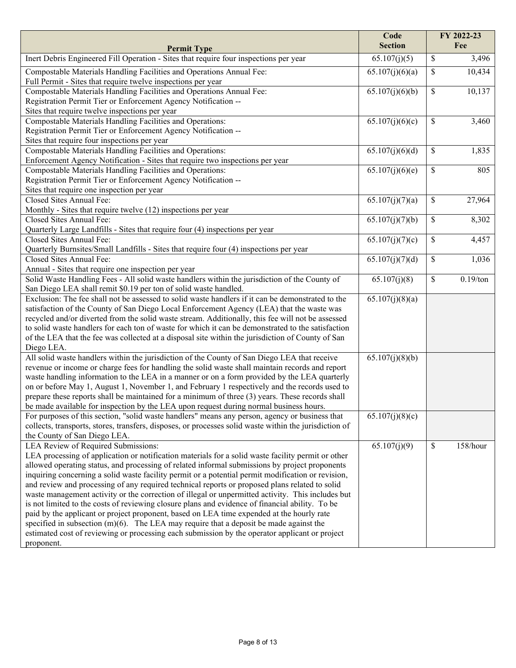| <b>Section</b><br>Fee<br><b>Permit Type</b><br>Inert Debris Engineered Fill Operation - Sites that require four inspections per year<br>$\overline{65.107(j)}(5)$<br>\$<br>3,496<br>Compostable Materials Handling Facilities and Operations Annual Fee:<br>\$<br>10,434<br>65.107(j)(6)(a)<br>Full Permit - Sites that require twelve inspections per year<br>10,137<br>Compostable Materials Handling Facilities and Operations Annual Fee:<br>65.107(j)(6)(b)<br>\$<br>Registration Permit Tier or Enforcement Agency Notification --<br>Sites that require twelve inspections per year<br>Compostable Materials Handling Facilities and Operations:<br>\$<br>65.107(j)(6)(c)<br>3,460<br>Registration Permit Tier or Enforcement Agency Notification --<br>Sites that require four inspections per year<br>Compostable Materials Handling Facilities and Operations:<br>\$<br>65.107(j)(6)(d)<br>1,835<br>Enforcement Agency Notification - Sites that require two inspections per year<br>\$<br>Compostable Materials Handling Facilities and Operations:<br>805<br>65.107(j)(6)(e)<br>Registration Permit Tier or Enforcement Agency Notification --<br>Sites that require one inspection per year<br>Closed Sites Annual Fee:<br>\$<br>27,964<br>65.107(j)(7)(a)<br>Monthly - Sites that require twelve (12) inspections per year<br>Closed Sites Annual Fee:<br>65.107(j)(7)(b)<br>\$<br>8,302<br>Quarterly Large Landfills - Sites that require four (4) inspections per year<br>\$<br>Closed Sites Annual Fee:<br>65.107(j)(7)(c)<br>4,457<br>Quarterly Burnsites/Small Landfills - Sites that require four (4) inspections per year<br>\$<br>Closed Sites Annual Fee:<br>65.107(j)(7)(d)<br>1,036<br>Annual - Sites that require one inspection per year<br>Solid Waste Handling Fees - All solid waste handlers within the jurisdiction of the County of<br>\$<br>$0.19$ /ton<br>65.107(j)(8)<br>San Diego LEA shall remit \$0.19 per ton of solid waste handled.<br>Exclusion: The fee shall not be assessed to solid waste handlers if it can be demonstrated to the<br>65.107(j)(8)(a)<br>satisfaction of the County of San Diego Local Enforcement Agency (LEA) that the waste was<br>recycled and/or diverted from the solid waste stream. Additionally, this fee will not be assessed<br>to solid waste handlers for each ton of waste for which it can be demonstrated to the satisfaction<br>of the LEA that the fee was collected at a disposal site within the jurisdiction of County of San<br>Diego LEA.<br>All solid waste handlers within the jurisdiction of the County of San Diego LEA that receive<br>65.107(j)(8)(b)<br>revenue or income or charge fees for handling the solid waste shall maintain records and report<br>waste handling information to the LEA in a manner or on a form provided by the LEA quarterly<br>on or before May 1, August 1, November 1, and February 1 respectively and the records used to |
|---------------------------------------------------------------------------------------------------------------------------------------------------------------------------------------------------------------------------------------------------------------------------------------------------------------------------------------------------------------------------------------------------------------------------------------------------------------------------------------------------------------------------------------------------------------------------------------------------------------------------------------------------------------------------------------------------------------------------------------------------------------------------------------------------------------------------------------------------------------------------------------------------------------------------------------------------------------------------------------------------------------------------------------------------------------------------------------------------------------------------------------------------------------------------------------------------------------------------------------------------------------------------------------------------------------------------------------------------------------------------------------------------------------------------------------------------------------------------------------------------------------------------------------------------------------------------------------------------------------------------------------------------------------------------------------------------------------------------------------------------------------------------------------------------------------------------------------------------------------------------------------------------------------------------------------------------------------------------------------------------------------------------------------------------------------------------------------------------------------------------------------------------------------------------------------------------------------------------------------------------------------------------------------------------------------------------------------------------------------------------------------------------------------------------------------------------------------------------------------------------------------------------------------------------------------------------------------------------------------------------------------------------------------------------------------------------------------------------------------------------------------------------------------------------------------------------------------------------------------------------------------------------------------------------------------------------------|
|                                                                                                                                                                                                                                                                                                                                                                                                                                                                                                                                                                                                                                                                                                                                                                                                                                                                                                                                                                                                                                                                                                                                                                                                                                                                                                                                                                                                                                                                                                                                                                                                                                                                                                                                                                                                                                                                                                                                                                                                                                                                                                                                                                                                                                                                                                                                                                                                                                                                                                                                                                                                                                                                                                                                                                                                                                                                                                                                                         |
|                                                                                                                                                                                                                                                                                                                                                                                                                                                                                                                                                                                                                                                                                                                                                                                                                                                                                                                                                                                                                                                                                                                                                                                                                                                                                                                                                                                                                                                                                                                                                                                                                                                                                                                                                                                                                                                                                                                                                                                                                                                                                                                                                                                                                                                                                                                                                                                                                                                                                                                                                                                                                                                                                                                                                                                                                                                                                                                                                         |
|                                                                                                                                                                                                                                                                                                                                                                                                                                                                                                                                                                                                                                                                                                                                                                                                                                                                                                                                                                                                                                                                                                                                                                                                                                                                                                                                                                                                                                                                                                                                                                                                                                                                                                                                                                                                                                                                                                                                                                                                                                                                                                                                                                                                                                                                                                                                                                                                                                                                                                                                                                                                                                                                                                                                                                                                                                                                                                                                                         |
|                                                                                                                                                                                                                                                                                                                                                                                                                                                                                                                                                                                                                                                                                                                                                                                                                                                                                                                                                                                                                                                                                                                                                                                                                                                                                                                                                                                                                                                                                                                                                                                                                                                                                                                                                                                                                                                                                                                                                                                                                                                                                                                                                                                                                                                                                                                                                                                                                                                                                                                                                                                                                                                                                                                                                                                                                                                                                                                                                         |
|                                                                                                                                                                                                                                                                                                                                                                                                                                                                                                                                                                                                                                                                                                                                                                                                                                                                                                                                                                                                                                                                                                                                                                                                                                                                                                                                                                                                                                                                                                                                                                                                                                                                                                                                                                                                                                                                                                                                                                                                                                                                                                                                                                                                                                                                                                                                                                                                                                                                                                                                                                                                                                                                                                                                                                                                                                                                                                                                                         |
|                                                                                                                                                                                                                                                                                                                                                                                                                                                                                                                                                                                                                                                                                                                                                                                                                                                                                                                                                                                                                                                                                                                                                                                                                                                                                                                                                                                                                                                                                                                                                                                                                                                                                                                                                                                                                                                                                                                                                                                                                                                                                                                                                                                                                                                                                                                                                                                                                                                                                                                                                                                                                                                                                                                                                                                                                                                                                                                                                         |
|                                                                                                                                                                                                                                                                                                                                                                                                                                                                                                                                                                                                                                                                                                                                                                                                                                                                                                                                                                                                                                                                                                                                                                                                                                                                                                                                                                                                                                                                                                                                                                                                                                                                                                                                                                                                                                                                                                                                                                                                                                                                                                                                                                                                                                                                                                                                                                                                                                                                                                                                                                                                                                                                                                                                                                                                                                                                                                                                                         |
|                                                                                                                                                                                                                                                                                                                                                                                                                                                                                                                                                                                                                                                                                                                                                                                                                                                                                                                                                                                                                                                                                                                                                                                                                                                                                                                                                                                                                                                                                                                                                                                                                                                                                                                                                                                                                                                                                                                                                                                                                                                                                                                                                                                                                                                                                                                                                                                                                                                                                                                                                                                                                                                                                                                                                                                                                                                                                                                                                         |
|                                                                                                                                                                                                                                                                                                                                                                                                                                                                                                                                                                                                                                                                                                                                                                                                                                                                                                                                                                                                                                                                                                                                                                                                                                                                                                                                                                                                                                                                                                                                                                                                                                                                                                                                                                                                                                                                                                                                                                                                                                                                                                                                                                                                                                                                                                                                                                                                                                                                                                                                                                                                                                                                                                                                                                                                                                                                                                                                                         |
|                                                                                                                                                                                                                                                                                                                                                                                                                                                                                                                                                                                                                                                                                                                                                                                                                                                                                                                                                                                                                                                                                                                                                                                                                                                                                                                                                                                                                                                                                                                                                                                                                                                                                                                                                                                                                                                                                                                                                                                                                                                                                                                                                                                                                                                                                                                                                                                                                                                                                                                                                                                                                                                                                                                                                                                                                                                                                                                                                         |
|                                                                                                                                                                                                                                                                                                                                                                                                                                                                                                                                                                                                                                                                                                                                                                                                                                                                                                                                                                                                                                                                                                                                                                                                                                                                                                                                                                                                                                                                                                                                                                                                                                                                                                                                                                                                                                                                                                                                                                                                                                                                                                                                                                                                                                                                                                                                                                                                                                                                                                                                                                                                                                                                                                                                                                                                                                                                                                                                                         |
|                                                                                                                                                                                                                                                                                                                                                                                                                                                                                                                                                                                                                                                                                                                                                                                                                                                                                                                                                                                                                                                                                                                                                                                                                                                                                                                                                                                                                                                                                                                                                                                                                                                                                                                                                                                                                                                                                                                                                                                                                                                                                                                                                                                                                                                                                                                                                                                                                                                                                                                                                                                                                                                                                                                                                                                                                                                                                                                                                         |
|                                                                                                                                                                                                                                                                                                                                                                                                                                                                                                                                                                                                                                                                                                                                                                                                                                                                                                                                                                                                                                                                                                                                                                                                                                                                                                                                                                                                                                                                                                                                                                                                                                                                                                                                                                                                                                                                                                                                                                                                                                                                                                                                                                                                                                                                                                                                                                                                                                                                                                                                                                                                                                                                                                                                                                                                                                                                                                                                                         |
|                                                                                                                                                                                                                                                                                                                                                                                                                                                                                                                                                                                                                                                                                                                                                                                                                                                                                                                                                                                                                                                                                                                                                                                                                                                                                                                                                                                                                                                                                                                                                                                                                                                                                                                                                                                                                                                                                                                                                                                                                                                                                                                                                                                                                                                                                                                                                                                                                                                                                                                                                                                                                                                                                                                                                                                                                                                                                                                                                         |
|                                                                                                                                                                                                                                                                                                                                                                                                                                                                                                                                                                                                                                                                                                                                                                                                                                                                                                                                                                                                                                                                                                                                                                                                                                                                                                                                                                                                                                                                                                                                                                                                                                                                                                                                                                                                                                                                                                                                                                                                                                                                                                                                                                                                                                                                                                                                                                                                                                                                                                                                                                                                                                                                                                                                                                                                                                                                                                                                                         |
|                                                                                                                                                                                                                                                                                                                                                                                                                                                                                                                                                                                                                                                                                                                                                                                                                                                                                                                                                                                                                                                                                                                                                                                                                                                                                                                                                                                                                                                                                                                                                                                                                                                                                                                                                                                                                                                                                                                                                                                                                                                                                                                                                                                                                                                                                                                                                                                                                                                                                                                                                                                                                                                                                                                                                                                                                                                                                                                                                         |
|                                                                                                                                                                                                                                                                                                                                                                                                                                                                                                                                                                                                                                                                                                                                                                                                                                                                                                                                                                                                                                                                                                                                                                                                                                                                                                                                                                                                                                                                                                                                                                                                                                                                                                                                                                                                                                                                                                                                                                                                                                                                                                                                                                                                                                                                                                                                                                                                                                                                                                                                                                                                                                                                                                                                                                                                                                                                                                                                                         |
|                                                                                                                                                                                                                                                                                                                                                                                                                                                                                                                                                                                                                                                                                                                                                                                                                                                                                                                                                                                                                                                                                                                                                                                                                                                                                                                                                                                                                                                                                                                                                                                                                                                                                                                                                                                                                                                                                                                                                                                                                                                                                                                                                                                                                                                                                                                                                                                                                                                                                                                                                                                                                                                                                                                                                                                                                                                                                                                                                         |
|                                                                                                                                                                                                                                                                                                                                                                                                                                                                                                                                                                                                                                                                                                                                                                                                                                                                                                                                                                                                                                                                                                                                                                                                                                                                                                                                                                                                                                                                                                                                                                                                                                                                                                                                                                                                                                                                                                                                                                                                                                                                                                                                                                                                                                                                                                                                                                                                                                                                                                                                                                                                                                                                                                                                                                                                                                                                                                                                                         |
|                                                                                                                                                                                                                                                                                                                                                                                                                                                                                                                                                                                                                                                                                                                                                                                                                                                                                                                                                                                                                                                                                                                                                                                                                                                                                                                                                                                                                                                                                                                                                                                                                                                                                                                                                                                                                                                                                                                                                                                                                                                                                                                                                                                                                                                                                                                                                                                                                                                                                                                                                                                                                                                                                                                                                                                                                                                                                                                                                         |
|                                                                                                                                                                                                                                                                                                                                                                                                                                                                                                                                                                                                                                                                                                                                                                                                                                                                                                                                                                                                                                                                                                                                                                                                                                                                                                                                                                                                                                                                                                                                                                                                                                                                                                                                                                                                                                                                                                                                                                                                                                                                                                                                                                                                                                                                                                                                                                                                                                                                                                                                                                                                                                                                                                                                                                                                                                                                                                                                                         |
|                                                                                                                                                                                                                                                                                                                                                                                                                                                                                                                                                                                                                                                                                                                                                                                                                                                                                                                                                                                                                                                                                                                                                                                                                                                                                                                                                                                                                                                                                                                                                                                                                                                                                                                                                                                                                                                                                                                                                                                                                                                                                                                                                                                                                                                                                                                                                                                                                                                                                                                                                                                                                                                                                                                                                                                                                                                                                                                                                         |
|                                                                                                                                                                                                                                                                                                                                                                                                                                                                                                                                                                                                                                                                                                                                                                                                                                                                                                                                                                                                                                                                                                                                                                                                                                                                                                                                                                                                                                                                                                                                                                                                                                                                                                                                                                                                                                                                                                                                                                                                                                                                                                                                                                                                                                                                                                                                                                                                                                                                                                                                                                                                                                                                                                                                                                                                                                                                                                                                                         |
|                                                                                                                                                                                                                                                                                                                                                                                                                                                                                                                                                                                                                                                                                                                                                                                                                                                                                                                                                                                                                                                                                                                                                                                                                                                                                                                                                                                                                                                                                                                                                                                                                                                                                                                                                                                                                                                                                                                                                                                                                                                                                                                                                                                                                                                                                                                                                                                                                                                                                                                                                                                                                                                                                                                                                                                                                                                                                                                                                         |
|                                                                                                                                                                                                                                                                                                                                                                                                                                                                                                                                                                                                                                                                                                                                                                                                                                                                                                                                                                                                                                                                                                                                                                                                                                                                                                                                                                                                                                                                                                                                                                                                                                                                                                                                                                                                                                                                                                                                                                                                                                                                                                                                                                                                                                                                                                                                                                                                                                                                                                                                                                                                                                                                                                                                                                                                                                                                                                                                                         |
|                                                                                                                                                                                                                                                                                                                                                                                                                                                                                                                                                                                                                                                                                                                                                                                                                                                                                                                                                                                                                                                                                                                                                                                                                                                                                                                                                                                                                                                                                                                                                                                                                                                                                                                                                                                                                                                                                                                                                                                                                                                                                                                                                                                                                                                                                                                                                                                                                                                                                                                                                                                                                                                                                                                                                                                                                                                                                                                                                         |
|                                                                                                                                                                                                                                                                                                                                                                                                                                                                                                                                                                                                                                                                                                                                                                                                                                                                                                                                                                                                                                                                                                                                                                                                                                                                                                                                                                                                                                                                                                                                                                                                                                                                                                                                                                                                                                                                                                                                                                                                                                                                                                                                                                                                                                                                                                                                                                                                                                                                                                                                                                                                                                                                                                                                                                                                                                                                                                                                                         |
|                                                                                                                                                                                                                                                                                                                                                                                                                                                                                                                                                                                                                                                                                                                                                                                                                                                                                                                                                                                                                                                                                                                                                                                                                                                                                                                                                                                                                                                                                                                                                                                                                                                                                                                                                                                                                                                                                                                                                                                                                                                                                                                                                                                                                                                                                                                                                                                                                                                                                                                                                                                                                                                                                                                                                                                                                                                                                                                                                         |
|                                                                                                                                                                                                                                                                                                                                                                                                                                                                                                                                                                                                                                                                                                                                                                                                                                                                                                                                                                                                                                                                                                                                                                                                                                                                                                                                                                                                                                                                                                                                                                                                                                                                                                                                                                                                                                                                                                                                                                                                                                                                                                                                                                                                                                                                                                                                                                                                                                                                                                                                                                                                                                                                                                                                                                                                                                                                                                                                                         |
|                                                                                                                                                                                                                                                                                                                                                                                                                                                                                                                                                                                                                                                                                                                                                                                                                                                                                                                                                                                                                                                                                                                                                                                                                                                                                                                                                                                                                                                                                                                                                                                                                                                                                                                                                                                                                                                                                                                                                                                                                                                                                                                                                                                                                                                                                                                                                                                                                                                                                                                                                                                                                                                                                                                                                                                                                                                                                                                                                         |
|                                                                                                                                                                                                                                                                                                                                                                                                                                                                                                                                                                                                                                                                                                                                                                                                                                                                                                                                                                                                                                                                                                                                                                                                                                                                                                                                                                                                                                                                                                                                                                                                                                                                                                                                                                                                                                                                                                                                                                                                                                                                                                                                                                                                                                                                                                                                                                                                                                                                                                                                                                                                                                                                                                                                                                                                                                                                                                                                                         |
|                                                                                                                                                                                                                                                                                                                                                                                                                                                                                                                                                                                                                                                                                                                                                                                                                                                                                                                                                                                                                                                                                                                                                                                                                                                                                                                                                                                                                                                                                                                                                                                                                                                                                                                                                                                                                                                                                                                                                                                                                                                                                                                                                                                                                                                                                                                                                                                                                                                                                                                                                                                                                                                                                                                                                                                                                                                                                                                                                         |
|                                                                                                                                                                                                                                                                                                                                                                                                                                                                                                                                                                                                                                                                                                                                                                                                                                                                                                                                                                                                                                                                                                                                                                                                                                                                                                                                                                                                                                                                                                                                                                                                                                                                                                                                                                                                                                                                                                                                                                                                                                                                                                                                                                                                                                                                                                                                                                                                                                                                                                                                                                                                                                                                                                                                                                                                                                                                                                                                                         |
|                                                                                                                                                                                                                                                                                                                                                                                                                                                                                                                                                                                                                                                                                                                                                                                                                                                                                                                                                                                                                                                                                                                                                                                                                                                                                                                                                                                                                                                                                                                                                                                                                                                                                                                                                                                                                                                                                                                                                                                                                                                                                                                                                                                                                                                                                                                                                                                                                                                                                                                                                                                                                                                                                                                                                                                                                                                                                                                                                         |
| prepare these reports shall be maintained for a minimum of three (3) years. These records shall                                                                                                                                                                                                                                                                                                                                                                                                                                                                                                                                                                                                                                                                                                                                                                                                                                                                                                                                                                                                                                                                                                                                                                                                                                                                                                                                                                                                                                                                                                                                                                                                                                                                                                                                                                                                                                                                                                                                                                                                                                                                                                                                                                                                                                                                                                                                                                                                                                                                                                                                                                                                                                                                                                                                                                                                                                                         |
| be made available for inspection by the LEA upon request during normal business hours.                                                                                                                                                                                                                                                                                                                                                                                                                                                                                                                                                                                                                                                                                                                                                                                                                                                                                                                                                                                                                                                                                                                                                                                                                                                                                                                                                                                                                                                                                                                                                                                                                                                                                                                                                                                                                                                                                                                                                                                                                                                                                                                                                                                                                                                                                                                                                                                                                                                                                                                                                                                                                                                                                                                                                                                                                                                                  |
| For purposes of this section, "solid waste handlers" means any person, agency or business that<br>65.107(j)(8)(c)                                                                                                                                                                                                                                                                                                                                                                                                                                                                                                                                                                                                                                                                                                                                                                                                                                                                                                                                                                                                                                                                                                                                                                                                                                                                                                                                                                                                                                                                                                                                                                                                                                                                                                                                                                                                                                                                                                                                                                                                                                                                                                                                                                                                                                                                                                                                                                                                                                                                                                                                                                                                                                                                                                                                                                                                                                       |
| collects, transports, stores, transfers, disposes, or processes solid waste within the jurisdiction of                                                                                                                                                                                                                                                                                                                                                                                                                                                                                                                                                                                                                                                                                                                                                                                                                                                                                                                                                                                                                                                                                                                                                                                                                                                                                                                                                                                                                                                                                                                                                                                                                                                                                                                                                                                                                                                                                                                                                                                                                                                                                                                                                                                                                                                                                                                                                                                                                                                                                                                                                                                                                                                                                                                                                                                                                                                  |
| the County of San Diego LEA.                                                                                                                                                                                                                                                                                                                                                                                                                                                                                                                                                                                                                                                                                                                                                                                                                                                                                                                                                                                                                                                                                                                                                                                                                                                                                                                                                                                                                                                                                                                                                                                                                                                                                                                                                                                                                                                                                                                                                                                                                                                                                                                                                                                                                                                                                                                                                                                                                                                                                                                                                                                                                                                                                                                                                                                                                                                                                                                            |
| LEA Review of Required Submissions:<br>65.107(j)(9)<br>\$<br>158/hour                                                                                                                                                                                                                                                                                                                                                                                                                                                                                                                                                                                                                                                                                                                                                                                                                                                                                                                                                                                                                                                                                                                                                                                                                                                                                                                                                                                                                                                                                                                                                                                                                                                                                                                                                                                                                                                                                                                                                                                                                                                                                                                                                                                                                                                                                                                                                                                                                                                                                                                                                                                                                                                                                                                                                                                                                                                                                   |
| LEA processing of application or notification materials for a solid waste facility permit or other                                                                                                                                                                                                                                                                                                                                                                                                                                                                                                                                                                                                                                                                                                                                                                                                                                                                                                                                                                                                                                                                                                                                                                                                                                                                                                                                                                                                                                                                                                                                                                                                                                                                                                                                                                                                                                                                                                                                                                                                                                                                                                                                                                                                                                                                                                                                                                                                                                                                                                                                                                                                                                                                                                                                                                                                                                                      |
| allowed operating status, and processing of related informal submissions by project proponents                                                                                                                                                                                                                                                                                                                                                                                                                                                                                                                                                                                                                                                                                                                                                                                                                                                                                                                                                                                                                                                                                                                                                                                                                                                                                                                                                                                                                                                                                                                                                                                                                                                                                                                                                                                                                                                                                                                                                                                                                                                                                                                                                                                                                                                                                                                                                                                                                                                                                                                                                                                                                                                                                                                                                                                                                                                          |
| inquiring concerning a solid waste facility permit or a potential permit modification or revision,                                                                                                                                                                                                                                                                                                                                                                                                                                                                                                                                                                                                                                                                                                                                                                                                                                                                                                                                                                                                                                                                                                                                                                                                                                                                                                                                                                                                                                                                                                                                                                                                                                                                                                                                                                                                                                                                                                                                                                                                                                                                                                                                                                                                                                                                                                                                                                                                                                                                                                                                                                                                                                                                                                                                                                                                                                                      |
| and review and processing of any required technical reports or proposed plans related to solid                                                                                                                                                                                                                                                                                                                                                                                                                                                                                                                                                                                                                                                                                                                                                                                                                                                                                                                                                                                                                                                                                                                                                                                                                                                                                                                                                                                                                                                                                                                                                                                                                                                                                                                                                                                                                                                                                                                                                                                                                                                                                                                                                                                                                                                                                                                                                                                                                                                                                                                                                                                                                                                                                                                                                                                                                                                          |
| waste management activity or the correction of illegal or unpermitted activity. This includes but                                                                                                                                                                                                                                                                                                                                                                                                                                                                                                                                                                                                                                                                                                                                                                                                                                                                                                                                                                                                                                                                                                                                                                                                                                                                                                                                                                                                                                                                                                                                                                                                                                                                                                                                                                                                                                                                                                                                                                                                                                                                                                                                                                                                                                                                                                                                                                                                                                                                                                                                                                                                                                                                                                                                                                                                                                                       |
| is not limited to the costs of reviewing closure plans and evidence of financial ability. To be                                                                                                                                                                                                                                                                                                                                                                                                                                                                                                                                                                                                                                                                                                                                                                                                                                                                                                                                                                                                                                                                                                                                                                                                                                                                                                                                                                                                                                                                                                                                                                                                                                                                                                                                                                                                                                                                                                                                                                                                                                                                                                                                                                                                                                                                                                                                                                                                                                                                                                                                                                                                                                                                                                                                                                                                                                                         |
| paid by the applicant or project proponent, based on LEA time expended at the hourly rate<br>specified in subsection $(m)(6)$ . The LEA may require that a deposit be made against the                                                                                                                                                                                                                                                                                                                                                                                                                                                                                                                                                                                                                                                                                                                                                                                                                                                                                                                                                                                                                                                                                                                                                                                                                                                                                                                                                                                                                                                                                                                                                                                                                                                                                                                                                                                                                                                                                                                                                                                                                                                                                                                                                                                                                                                                                                                                                                                                                                                                                                                                                                                                                                                                                                                                                                  |
| estimated cost of reviewing or processing each submission by the operator applicant or project                                                                                                                                                                                                                                                                                                                                                                                                                                                                                                                                                                                                                                                                                                                                                                                                                                                                                                                                                                                                                                                                                                                                                                                                                                                                                                                                                                                                                                                                                                                                                                                                                                                                                                                                                                                                                                                                                                                                                                                                                                                                                                                                                                                                                                                                                                                                                                                                                                                                                                                                                                                                                                                                                                                                                                                                                                                          |
| proponent.                                                                                                                                                                                                                                                                                                                                                                                                                                                                                                                                                                                                                                                                                                                                                                                                                                                                                                                                                                                                                                                                                                                                                                                                                                                                                                                                                                                                                                                                                                                                                                                                                                                                                                                                                                                                                                                                                                                                                                                                                                                                                                                                                                                                                                                                                                                                                                                                                                                                                                                                                                                                                                                                                                                                                                                                                                                                                                                                              |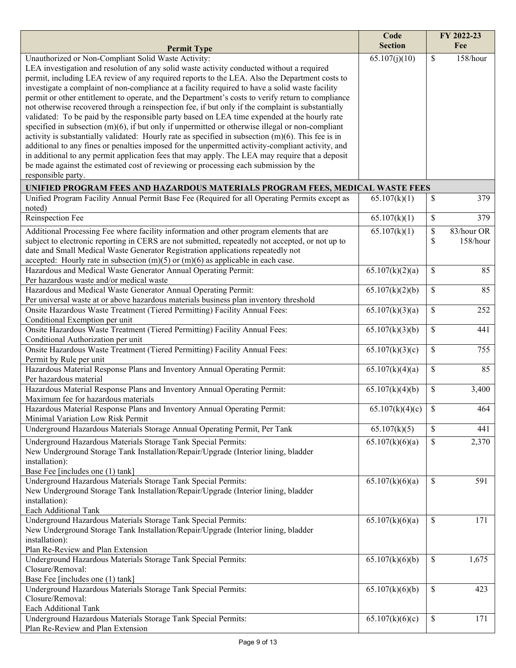|                                                                                                                                                                                                                                                                                                                                                                                                                                                                                                                                                                                                                                                                                                                                                                                                                                                                                                                                                                                                                                                                                                                                                                                                      | Code<br><b>Section</b> |               | FY 2022-23<br>Fee      |
|------------------------------------------------------------------------------------------------------------------------------------------------------------------------------------------------------------------------------------------------------------------------------------------------------------------------------------------------------------------------------------------------------------------------------------------------------------------------------------------------------------------------------------------------------------------------------------------------------------------------------------------------------------------------------------------------------------------------------------------------------------------------------------------------------------------------------------------------------------------------------------------------------------------------------------------------------------------------------------------------------------------------------------------------------------------------------------------------------------------------------------------------------------------------------------------------------|------------------------|---------------|------------------------|
| <b>Permit Type</b>                                                                                                                                                                                                                                                                                                                                                                                                                                                                                                                                                                                                                                                                                                                                                                                                                                                                                                                                                                                                                                                                                                                                                                                   |                        |               |                        |
| Unauthorized or Non-Compliant Solid Waste Activity:<br>LEA investigation and resolution of any solid waste activity conducted without a required<br>permit, including LEA review of any required reports to the LEA. Also the Department costs to<br>investigate a complaint of non-compliance at a facility required to have a solid waste facility<br>permit or other entitlement to operate, and the Department's costs to verify return to compliance<br>not otherwise recovered through a reinspection fee, if but only if the complaint is substantially<br>validated: To be paid by the responsible party based on LEA time expended at the hourly rate<br>specified in subsection $(m)(6)$ , if but only if unpermitted or otherwise illegal or non-compliant<br>activity is substantially validated: Hourly rate as specified in subsection $(m)(6)$ . This fee is in<br>additional to any fines or penalties imposed for the unpermitted activity-compliant activity, and<br>in additional to any permit application fees that may apply. The LEA may require that a deposit<br>be made against the estimated cost of reviewing or processing each submission by the<br>responsible party. | 65.107(j)(10)          | \$            | 158/hour               |
| UNIFIED PROGRAM FEES AND HAZARDOUS MATERIALS PROGRAM FEES, MEDICAL WASTE FEES                                                                                                                                                                                                                                                                                                                                                                                                                                                                                                                                                                                                                                                                                                                                                                                                                                                                                                                                                                                                                                                                                                                        |                        |               |                        |
| Unified Program Facility Annual Permit Base Fee (Required for all Operating Permits except as<br>noted)                                                                                                                                                                                                                                                                                                                                                                                                                                                                                                                                                                                                                                                                                                                                                                                                                                                                                                                                                                                                                                                                                              | 65.107(k)(1)           | \$            | 379                    |
| Reinspection Fee                                                                                                                                                                                                                                                                                                                                                                                                                                                                                                                                                                                                                                                                                                                                                                                                                                                                                                                                                                                                                                                                                                                                                                                     | 65.107(k)(1)           | \$            | 379                    |
| Additional Processing Fee where facility information and other program elements that are<br>subject to electronic reporting in CERS are not submitted, repeatedly not accepted, or not up to<br>date and Small Medical Waste Generator Registration applications repeatedly not<br>accepted: Hourly rate in subsection $(m)(5)$ or $(m)(6)$ as applicable in each case.                                                                                                                                                                                                                                                                                                                                                                                                                                                                                                                                                                                                                                                                                                                                                                                                                              | 65.107(k)(1)           | \$<br>\$      | 83/hour OR<br>158/hour |
| Hazardous and Medical Waste Generator Annual Operating Permit:<br>Per hazardous waste and/or medical waste                                                                                                                                                                                                                                                                                                                                                                                                                                                                                                                                                                                                                                                                                                                                                                                                                                                                                                                                                                                                                                                                                           | 65.107(k)(2)(a)        | \$            | 85                     |
| Hazardous and Medical Waste Generator Annual Operating Permit:<br>Per universal waste at or above hazardous materials business plan inventory threshold                                                                                                                                                                                                                                                                                                                                                                                                                                                                                                                                                                                                                                                                                                                                                                                                                                                                                                                                                                                                                                              | 65.107(k)(2)(b)        | \$            | 85                     |
| Onsite Hazardous Waste Treatment (Tiered Permitting) Facility Annual Fees:<br>Conditional Exemption per unit                                                                                                                                                                                                                                                                                                                                                                                                                                                                                                                                                                                                                                                                                                                                                                                                                                                                                                                                                                                                                                                                                         | 65.107(k)(3)(a)        | \$            | 252                    |
| Onsite Hazardous Waste Treatment (Tiered Permitting) Facility Annual Fees:<br>Conditional Authorization per unit                                                                                                                                                                                                                                                                                                                                                                                                                                                                                                                                                                                                                                                                                                                                                                                                                                                                                                                                                                                                                                                                                     | 65.107(k)(3)(b)        | \$            | 441                    |
| Onsite Hazardous Waste Treatment (Tiered Permitting) Facility Annual Fees:<br>Permit by Rule per unit                                                                                                                                                                                                                                                                                                                                                                                                                                                                                                                                                                                                                                                                                                                                                                                                                                                                                                                                                                                                                                                                                                | 65.107(k)(3)(c)        | \$            | 755                    |
| Hazardous Material Response Plans and Inventory Annual Operating Permit:<br>Per hazardous material                                                                                                                                                                                                                                                                                                                                                                                                                                                                                                                                                                                                                                                                                                                                                                                                                                                                                                                                                                                                                                                                                                   | 65.107(k)(4)(a)        | \$            | 85                     |
| Hazardous Material Response Plans and Inventory Annual Operating Permit:<br>Maximum fee for hazardous materials                                                                                                                                                                                                                                                                                                                                                                                                                                                                                                                                                                                                                                                                                                                                                                                                                                                                                                                                                                                                                                                                                      | 65.107(k)(4)(b)        | \$            | 3,400                  |
| Hazardous Material Response Plans and Inventory Annual Operating Permit:<br>Minimal Variation Low Risk Permit                                                                                                                                                                                                                                                                                                                                                                                                                                                                                                                                                                                                                                                                                                                                                                                                                                                                                                                                                                                                                                                                                        | 65.107(k)(4)(c)        | $\mathbb{S}$  | 464                    |
| Underground Hazardous Materials Storage Annual Operating Permit, Per Tank                                                                                                                                                                                                                                                                                                                                                                                                                                                                                                                                                                                                                                                                                                                                                                                                                                                                                                                                                                                                                                                                                                                            | 65.107(k)(5)           | \$            | 441                    |
| Underground Hazardous Materials Storage Tank Special Permits:<br>New Underground Storage Tank Installation/Repair/Upgrade (Interior lining, bladder<br>installation):<br>Base Fee [includes one (1) tank]                                                                                                                                                                                                                                                                                                                                                                                                                                                                                                                                                                                                                                                                                                                                                                                                                                                                                                                                                                                            | 65.107(k)(6)(a)        | $\mathbb{S}$  | 2,370                  |
| Underground Hazardous Materials Storage Tank Special Permits:<br>New Underground Storage Tank Installation/Repair/Upgrade (Interior lining, bladder<br>installation):<br>Each Additional Tank                                                                                                                                                                                                                                                                                                                                                                                                                                                                                                                                                                                                                                                                                                                                                                                                                                                                                                                                                                                                        | 65.107(k)(6)(a)        | \$            | 591                    |
| Underground Hazardous Materials Storage Tank Special Permits:<br>New Underground Storage Tank Installation/Repair/Upgrade (Interior lining, bladder<br>installation):<br>Plan Re-Review and Plan Extension                                                                                                                                                                                                                                                                                                                                                                                                                                                                                                                                                                                                                                                                                                                                                                                                                                                                                                                                                                                           | 65.107(k)(6)(a)        | <sup>\$</sup> | 171                    |
| Underground Hazardous Materials Storage Tank Special Permits:<br>Closure/Removal:                                                                                                                                                                                                                                                                                                                                                                                                                                                                                                                                                                                                                                                                                                                                                                                                                                                                                                                                                                                                                                                                                                                    | 65.107(k)(6)(b)        | \$            | 1,675                  |
| Base Fee [includes one (1) tank]<br>Underground Hazardous Materials Storage Tank Special Permits:<br>Closure/Removal:<br>Each Additional Tank                                                                                                                                                                                                                                                                                                                                                                                                                                                                                                                                                                                                                                                                                                                                                                                                                                                                                                                                                                                                                                                        | 65.107(k)(6)(b)        | \$            | 423                    |
| Underground Hazardous Materials Storage Tank Special Permits:<br>Plan Re-Review and Plan Extension                                                                                                                                                                                                                                                                                                                                                                                                                                                                                                                                                                                                                                                                                                                                                                                                                                                                                                                                                                                                                                                                                                   | 65.107(k)(6)(c)        | \$            | 171                    |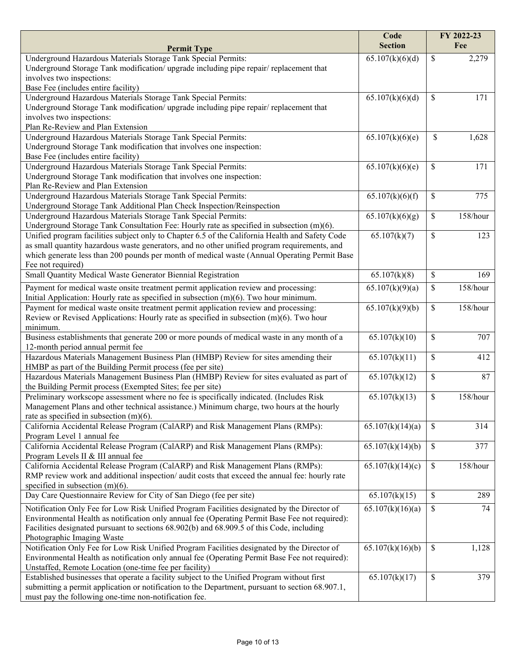|                                                                                                                                                                                                                                                                                                                          | Code             | FY 2022-23               |
|--------------------------------------------------------------------------------------------------------------------------------------------------------------------------------------------------------------------------------------------------------------------------------------------------------------------------|------------------|--------------------------|
| <b>Permit Type</b>                                                                                                                                                                                                                                                                                                       | <b>Section</b>   | Fee                      |
| Underground Hazardous Materials Storage Tank Special Permits:<br>Underground Storage Tank modification/ upgrade including pipe repair/ replacement that<br>involves two inspections:<br>Base Fee (includes entire facility)                                                                                              | 65.107(k)(6)(d)  | \$<br>2,279              |
| Underground Hazardous Materials Storage Tank Special Permits:<br>Underground Storage Tank modification/ upgrade including pipe repair/ replacement that<br>involves two inspections:<br>Plan Re-Review and Plan Extension                                                                                                | 65.107(k)(6)(d)  | \$<br>171                |
| Underground Hazardous Materials Storage Tank Special Permits:<br>Underground Storage Tank modification that involves one inspection:<br>Base Fee (includes entire facility)                                                                                                                                              | 65.107(k)(6)(e)  | \$<br>1,628              |
| Underground Hazardous Materials Storage Tank Special Permits:<br>Underground Storage Tank modification that involves one inspection:<br>Plan Re-Review and Plan Extension                                                                                                                                                | 65.107(k)(6)(e)  | \$<br>171                |
| Underground Hazardous Materials Storage Tank Special Permits:<br>Underground Storage Tank Additional Plan Check Inspection/Reinspection                                                                                                                                                                                  | 65.107(k)(6)(f)  | \$<br>775                |
| Underground Hazardous Materials Storage Tank Special Permits:<br>Underground Storage Tank Consultation Fee: Hourly rate as specified in subsection $(m)(6)$ .                                                                                                                                                            | 65.107(k)(6)(g)  | \$<br>158/hour           |
| Unified program facilities subject only to Chapter 6.5 of the California Health and Safety Code<br>as small quantity hazardous waste generators, and no other unified program requirements, and<br>which generate less than 200 pounds per month of medical waste (Annual Operating Permit Base<br>Fee not required)     | 65.107(k)(7)     | \$<br>123                |
| Small Quantity Medical Waste Generator Biennial Registration                                                                                                                                                                                                                                                             | 65.107(k)(8)     | $\mathbb S$<br>169       |
| Payment for medical waste onsite treatment permit application review and processing:<br>Initial Application: Hourly rate as specified in subsection $(m)(6)$ . Two hour minimum.                                                                                                                                         | 65.107(k)(9)(a)  | \$<br>158/hour           |
| Payment for medical waste onsite treatment permit application review and processing:<br>Review or Revised Applications: Hourly rate as specified in subsection (m)(6). Two hour<br>minimum.                                                                                                                              | 65.107(k)(9)(b)  | \$<br>158/hour           |
| Business establishments that generate 200 or more pounds of medical waste in any month of a<br>12-month period annual permit fee                                                                                                                                                                                         | 65.107(k)(10)    | \$<br>707                |
| Hazardous Materials Management Business Plan (HMBP) Review for sites amending their<br>HMBP as part of the Building Permit process (fee per site)                                                                                                                                                                        | 65.107(k)(11)    | \$<br>412                |
| Hazardous Materials Management Business Plan (HMBP) Review for sites evaluated as part of<br>the Building Permit process (Exempted Sites; fee per site)                                                                                                                                                                  | 65.107(k)(12)    | \$<br>87                 |
| Preliminary workscope assessment where no fee is specifically indicated. (Includes Risk<br>Management Plans and other technical assistance.) Minimum charge, two hours at the hourly<br>rate as specified in subsection $(m)(6)$ .                                                                                       | 65.107(k)(13)    | \$<br>$158/h$ our        |
| California Accidental Release Program (CalARP) and Risk Management Plans (RMPs):<br>Program Level 1 annual fee                                                                                                                                                                                                           | 65.107(k)(14)(a) | 314<br>\$                |
| California Accidental Release Program (CalARP) and Risk Management Plans (RMPs):<br>Program Levels II & III annual fee                                                                                                                                                                                                   | 65.107(k)(14)(b) | \$<br>377                |
| California Accidental Release Program (CalARP) and Risk Management Plans (RMPs):<br>RMP review work and additional inspection/ audit costs that exceed the annual fee: hourly rate<br>specified in subsection $(m)(6)$ .                                                                                                 | 65.107(k)(14)(c) | 158/hour<br>$\mathbb{S}$ |
| Day Care Questionnaire Review for City of San Diego (fee per site)                                                                                                                                                                                                                                                       | 65.107(k)(15)    | $\mathcal{S}$<br>289     |
| Notification Only Fee for Low Risk Unified Program Facilities designated by the Director of<br>Environmental Health as notification only annual fee (Operating Permit Base Fee not required):<br>Facilities designated pursuant to sections 68.902(b) and 68.909.5 of this Code, including<br>Photographic Imaging Waste | 65.107(k)(16)(a) | 74<br>\$                 |
| Notification Only Fee for Low Risk Unified Program Facilities designated by the Director of<br>Environmental Health as notification only annual fee (Operating Permit Base Fee not required):<br>Unstaffed, Remote Location (one-time fee per facility)                                                                  | 65.107(k)(16)(b) | \$<br>1,128              |
| Established businesses that operate a facility subject to the Unified Program without first<br>submitting a permit application or notification to the Department, pursuant to section 68.907.1,<br>must pay the following one-time non-notification fee.                                                                 | 65.107(k)(17)    | \$<br>379                |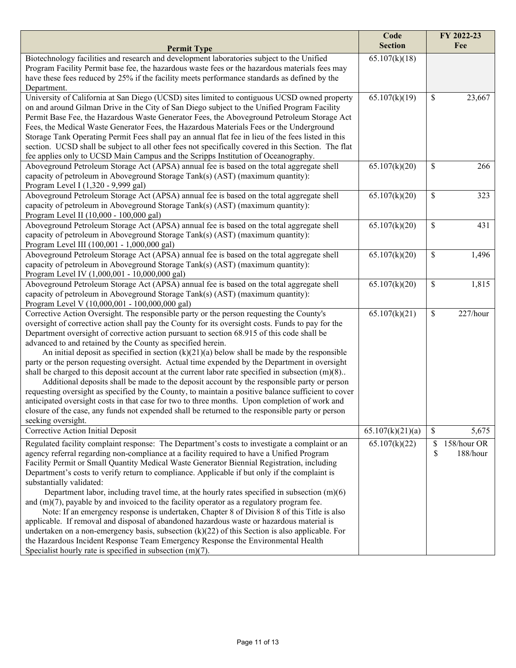|                                                                                                                                                                                                | Code<br><b>Section</b> | FY 2022-23<br>Fee    |
|------------------------------------------------------------------------------------------------------------------------------------------------------------------------------------------------|------------------------|----------------------|
| <b>Permit Type</b>                                                                                                                                                                             |                        |                      |
| Biotechnology facilities and research and development laboratories subject to the Unified                                                                                                      | 65.107(k)(18)          |                      |
| Program Facility Permit base fee, the hazardous waste fees or the hazardous materials fees may<br>have these fees reduced by 25% if the facility meets performance standards as defined by the |                        |                      |
| Department.                                                                                                                                                                                    |                        |                      |
| University of California at San Diego (UCSD) sites limited to contiguous UCSD owned property                                                                                                   | 65.107(k)(19)          | \$<br>23,667         |
| on and around Gilman Drive in the City of San Diego subject to the Unified Program Facility                                                                                                    |                        |                      |
| Permit Base Fee, the Hazardous Waste Generator Fees, the Aboveground Petroleum Storage Act                                                                                                     |                        |                      |
| Fees, the Medical Waste Generator Fees, the Hazardous Materials Fees or the Underground                                                                                                        |                        |                      |
| Storage Tank Operating Permit Fees shall pay an annual flat fee in lieu of the fees listed in this                                                                                             |                        |                      |
| section. UCSD shall be subject to all other fees not specifically covered in this Section. The flat                                                                                            |                        |                      |
| fee applies only to UCSD Main Campus and the Scripps Institution of Oceanography.                                                                                                              |                        |                      |
| Aboveground Petroleum Storage Act (APSA) annual fee is based on the total aggregate shell                                                                                                      | 65.107(k)(20)          | \$<br>266            |
| capacity of petroleum in Aboveground Storage Tank(s) (AST) (maximum quantity):                                                                                                                 |                        |                      |
| Program Level I (1,320 - 9,999 gal)                                                                                                                                                            |                        |                      |
| Aboveground Petroleum Storage Act (APSA) annual fee is based on the total aggregate shell                                                                                                      | 65.107(k)(20)          | \$<br>323            |
| capacity of petroleum in Aboveground Storage Tank(s) (AST) (maximum quantity):                                                                                                                 |                        |                      |
| Program Level II (10,000 - 100,000 gal)                                                                                                                                                        |                        |                      |
| Aboveground Petroleum Storage Act (APSA) annual fee is based on the total aggregate shell                                                                                                      | 65.107(k)(20)          | $\mathbb{S}$<br>431  |
| capacity of petroleum in Aboveground Storage Tank(s) (AST) (maximum quantity):                                                                                                                 |                        |                      |
| Program Level III (100,001 - 1,000,000 gal)                                                                                                                                                    |                        | $\mathsf{\$}$        |
| Aboveground Petroleum Storage Act (APSA) annual fee is based on the total aggregate shell<br>capacity of petroleum in Aboveground Storage Tank(s) (AST) (maximum quantity):                    | 65.107(k)(20)          | 1,496                |
| Program Level IV (1,000,001 - 10,000,000 gal)                                                                                                                                                  |                        |                      |
| Aboveground Petroleum Storage Act (APSA) annual fee is based on the total aggregate shell                                                                                                      | 65.107(k)(20)          | $\$$<br>1,815        |
| capacity of petroleum in Aboveground Storage Tank(s) (AST) (maximum quantity):                                                                                                                 |                        |                      |
| Program Level V (10,000,001 - 100,000,000 gal)                                                                                                                                                 |                        |                      |
| Corrective Action Oversight. The responsible party or the person requesting the County's                                                                                                       | 65.107(k)(21)          | \$<br>227/hour       |
| oversight of corrective action shall pay the County for its oversight costs. Funds to pay for the                                                                                              |                        |                      |
| Department oversight of corrective action pursuant to section 68.915 of this code shall be                                                                                                     |                        |                      |
| advanced to and retained by the County as specified herein.                                                                                                                                    |                        |                      |
| An initial deposit as specified in section $(k)(21)(a)$ below shall be made by the responsible                                                                                                 |                        |                      |
| party or the person requesting oversight. Actual time expended by the Department in oversight                                                                                                  |                        |                      |
| shall be charged to this deposit account at the current labor rate specified in subsection $(m)(8)$ .                                                                                          |                        |                      |
| Additional deposits shall be made to the deposit account by the responsible party or person                                                                                                    |                        |                      |
| requesting oversight as specified by the County, to maintain a positive balance sufficient to cover                                                                                            |                        |                      |
| anticipated oversight costs in that case for two to three months. Upon completion of work and                                                                                                  |                        |                      |
| closure of the case, any funds not expended shall be returned to the responsible party or person                                                                                               |                        |                      |
| seeking oversight.                                                                                                                                                                             |                        |                      |
| Corrective Action Initial Deposit                                                                                                                                                              | 65.107(k)(21)(a)       | $\mathbb S$<br>5,675 |
| Regulated facility complaint response: The Department's costs to investigate a complaint or an                                                                                                 | 65.107(k)(22)          | 158/hour OR<br>\$    |
| agency referral regarding non-compliance at a facility required to have a Unified Program                                                                                                      |                        | \$<br>188/hour       |
| Facility Permit or Small Quantity Medical Waste Generator Biennial Registration, including                                                                                                     |                        |                      |
| Department's costs to verify return to compliance. Applicable if but only if the complaint is                                                                                                  |                        |                      |
| substantially validated:                                                                                                                                                                       |                        |                      |
| Department labor, including travel time, at the hourly rates specified in subsection $(m)(6)$<br>and $(m)(7)$ , payable by and invoiced to the facility operator as a regulatory program fee.  |                        |                      |
| Note: If an emergency response is undertaken, Chapter 8 of Division 8 of this Title is also                                                                                                    |                        |                      |
| applicable. If removal and disposal of abandoned hazardous waste or hazardous material is                                                                                                      |                        |                      |
| undertaken on a non-emergency basis, subsection $(k)(22)$ of this Section is also applicable. For                                                                                              |                        |                      |
| the Hazardous Incident Response Team Emergency Response the Environmental Health                                                                                                               |                        |                      |
| Specialist hourly rate is specified in subsection $(m)(7)$ .                                                                                                                                   |                        |                      |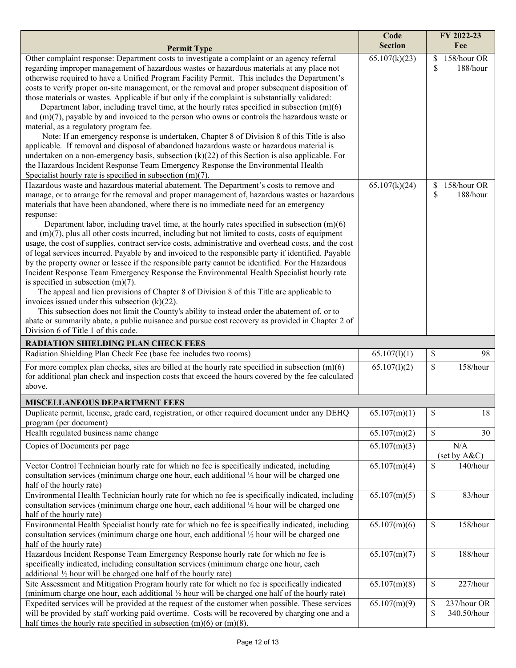|                                                                                                                                                                                                                                                                                                                                                                                                                                                                                                                                                                                                                                                                                                                                                                                                                                                                                                                                                                                                                                                                                                                                                                                                                                                                                                                                                              | Code<br><b>Section</b> | FY 2022-23<br>Fee                      |
|--------------------------------------------------------------------------------------------------------------------------------------------------------------------------------------------------------------------------------------------------------------------------------------------------------------------------------------------------------------------------------------------------------------------------------------------------------------------------------------------------------------------------------------------------------------------------------------------------------------------------------------------------------------------------------------------------------------------------------------------------------------------------------------------------------------------------------------------------------------------------------------------------------------------------------------------------------------------------------------------------------------------------------------------------------------------------------------------------------------------------------------------------------------------------------------------------------------------------------------------------------------------------------------------------------------------------------------------------------------|------------------------|----------------------------------------|
| <b>Permit Type</b>                                                                                                                                                                                                                                                                                                                                                                                                                                                                                                                                                                                                                                                                                                                                                                                                                                                                                                                                                                                                                                                                                                                                                                                                                                                                                                                                           |                        |                                        |
| Other complaint response: Department costs to investigate a complaint or an agency referral<br>regarding improper management of hazardous wastes or hazardous materials at any place not<br>otherwise required to have a Unified Program Facility Permit. This includes the Department's<br>costs to verify proper on-site management, or the removal and proper subsequent disposition of<br>those materials or wastes. Applicable if but only if the complaint is substantially validated:<br>Department labor, including travel time, at the hourly rates specified in subsection $(m)(6)$<br>and $(m)(7)$ , payable by and invoiced to the person who owns or controls the hazardous waste or<br>material, as a regulatory program fee.<br>Note: If an emergency response is undertaken, Chapter 8 of Division 8 of this Title is also<br>applicable. If removal and disposal of abandoned hazardous waste or hazardous material is<br>undertaken on a non-emergency basis, subsection $(k)(22)$ of this Section is also applicable. For<br>the Hazardous Incident Response Team Emergency Response the Environmental Health                                                                                                                                                                                                                             | 65.107(k)(23)          | 158/hour OR<br>\$<br>\$<br>188/hour    |
| Specialist hourly rate is specified in subsection $(m)(7)$ .                                                                                                                                                                                                                                                                                                                                                                                                                                                                                                                                                                                                                                                                                                                                                                                                                                                                                                                                                                                                                                                                                                                                                                                                                                                                                                 |                        |                                        |
| Hazardous waste and hazardous material abatement. The Department's costs to remove and<br>manage, or to arrange for the removal and proper management of, hazardous wastes or hazardous<br>materials that have been abandoned, where there is no immediate need for an emergency<br>response:<br>Department labor, including travel time, at the hourly rates specified in subsection $(m)(6)$<br>and $(m)(7)$ , plus all other costs incurred, including but not limited to costs, costs of equipment<br>usage, the cost of supplies, contract service costs, administrative and overhead costs, and the cost<br>of legal services incurred. Payable by and invoiced to the responsible party if identified. Payable<br>by the property owner or lessee if the responsible party cannot be identified. For the Hazardous<br>Incident Response Team Emergency Response the Environmental Health Specialist hourly rate<br>is specified in subsection $(m)(7)$ .<br>The appeal and lien provisions of Chapter 8 of Division 8 of this Title are applicable to<br>invoices issued under this subsection $(k)(22)$ .<br>This subsection does not limit the County's ability to instead order the abatement of, or to<br>abate or summarily abate, a public nuisance and pursue cost recovery as provided in Chapter 2 of<br>Division 6 of Title 1 of this code. | 65.107(k)(24)          | 158/hour OR<br>\$<br>\$<br>188/hour    |
| <b>RADIATION SHIELDING PLAN CHECK FEES</b>                                                                                                                                                                                                                                                                                                                                                                                                                                                                                                                                                                                                                                                                                                                                                                                                                                                                                                                                                                                                                                                                                                                                                                                                                                                                                                                   |                        |                                        |
| Radiation Shielding Plan Check Fee (base fee includes two rooms)                                                                                                                                                                                                                                                                                                                                                                                                                                                                                                                                                                                                                                                                                                                                                                                                                                                                                                                                                                                                                                                                                                                                                                                                                                                                                             | 65.107(l)(1)           | \$<br>98                               |
| For more complex plan checks, sites are billed at the hourly rate specified in subsection $(m)(6)$<br>for additional plan check and inspection costs that exceed the hours covered by the fee calculated<br>above.                                                                                                                                                                                                                                                                                                                                                                                                                                                                                                                                                                                                                                                                                                                                                                                                                                                                                                                                                                                                                                                                                                                                           | 65.107(1)(2)           | \$<br>158/hour                         |
| <b>MISCELLANEOUS DEPARTMENT FEES</b>                                                                                                                                                                                                                                                                                                                                                                                                                                                                                                                                                                                                                                                                                                                                                                                                                                                                                                                                                                                                                                                                                                                                                                                                                                                                                                                         |                        |                                        |
| Duplicate permit, license, grade card, registration, or other required document under any DEHQ<br>program (per document)                                                                                                                                                                                                                                                                                                                                                                                                                                                                                                                                                                                                                                                                                                                                                                                                                                                                                                                                                                                                                                                                                                                                                                                                                                     | 65.107(m)(1)           | \$<br>18                               |
| Health regulated business name change                                                                                                                                                                                                                                                                                                                                                                                                                                                                                                                                                                                                                                                                                                                                                                                                                                                                                                                                                                                                                                                                                                                                                                                                                                                                                                                        | 65.107(m)(2)           | \$<br>30                               |
| Copies of Documents per page                                                                                                                                                                                                                                                                                                                                                                                                                                                                                                                                                                                                                                                                                                                                                                                                                                                                                                                                                                                                                                                                                                                                                                                                                                                                                                                                 | 65.107(m)(3)           | N/A<br>(set by A&C)                    |
| Vector Control Technician hourly rate for which no fee is specifically indicated, including<br>consultation services (minimum charge one hour, each additional 1/2 hour will be charged one<br>half of the hourly rate)                                                                                                                                                                                                                                                                                                                                                                                                                                                                                                                                                                                                                                                                                                                                                                                                                                                                                                                                                                                                                                                                                                                                      | 65.107(m)(4)           | \$<br>140/hour                         |
| Environmental Health Technician hourly rate for which no fee is specifically indicated, including<br>consultation services (minimum charge one hour, each additional 1/2 hour will be charged one<br>half of the hourly rate)                                                                                                                                                                                                                                                                                                                                                                                                                                                                                                                                                                                                                                                                                                                                                                                                                                                                                                                                                                                                                                                                                                                                | 65.107(m)(5)           | $\$$<br>83/hour                        |
| Environmental Health Specialist hourly rate for which no fee is specifically indicated, including<br>consultation services (minimum charge one hour, each additional 1/2 hour will be charged one<br>half of the hourly rate)                                                                                                                                                                                                                                                                                                                                                                                                                                                                                                                                                                                                                                                                                                                                                                                                                                                                                                                                                                                                                                                                                                                                | 65.107(m)(6)           | $\$$<br>158/hour                       |
| Hazardous Incident Response Team Emergency Response hourly rate for which no fee is<br>specifically indicated, including consultation services (minimum charge one hour, each<br>additional $\frac{1}{2}$ hour will be charged one half of the hourly rate)                                                                                                                                                                                                                                                                                                                                                                                                                                                                                                                                                                                                                                                                                                                                                                                                                                                                                                                                                                                                                                                                                                  | 65.107(m)(7)           | $\$$<br>188/hour                       |
| Site Assessment and Mitigation Program hourly rate for which no fee is specifically indicated<br>(minimum charge one hour, each additional 1/2 hour will be charged one half of the hourly rate)                                                                                                                                                                                                                                                                                                                                                                                                                                                                                                                                                                                                                                                                                                                                                                                                                                                                                                                                                                                                                                                                                                                                                             | 65.107(m)(8)           | \$<br>227/hour                         |
| Expedited services will be provided at the request of the customer when possible. These services<br>will be provided by staff working paid overtime. Costs will be recovered by charging one and a<br>half times the hourly rate specified in subsection $(m)(6)$ or $(m)(8)$ .                                                                                                                                                                                                                                                                                                                                                                                                                                                                                                                                                                                                                                                                                                                                                                                                                                                                                                                                                                                                                                                                              | 65.107(m)(9)           | \$<br>237/hour OR<br>\$<br>340.50/hour |